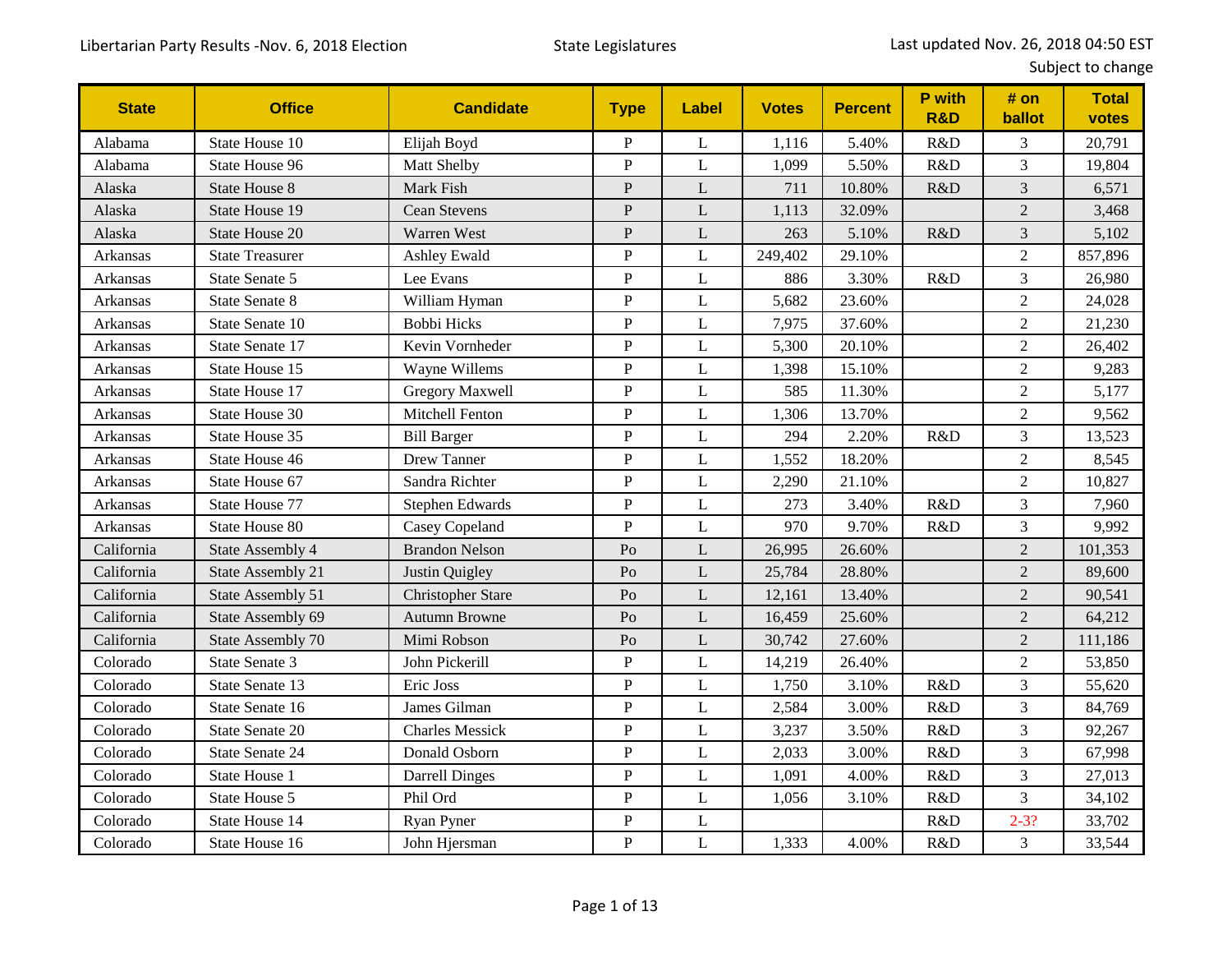| <b>State</b>    | <b>Office</b>          | <b>Candidate</b>         | <b>Type</b>    | Label        | <b>Votes</b> | <b>Percent</b> | P with<br><b>R&amp;D</b> | # on<br>ballot   | <b>Total</b><br>votes |
|-----------------|------------------------|--------------------------|----------------|--------------|--------------|----------------|--------------------------|------------------|-----------------------|
| Alabama         | State House 10         | Elijah Boyd              | ${\bf P}$      | L            | 1,116        | 5.40%          | R&D                      | 3                | 20,791                |
| Alabama         | State House 96         | Matt Shelby              | $\mathbf P$    | L            | 1,099        | 5.50%          | R&D                      | 3                | 19,804                |
| Alaska          | <b>State House 8</b>   | Mark Fish                | $\, {\bf P}$   | L            | 711          | 10.80%         | R&D                      | 3                | 6,571                 |
| Alaska          | State House 19         | <b>Cean Stevens</b>      | ${\bf P}$      | L            | 1,113        | 32.09%         |                          | $\overline{2}$   | 3,468                 |
| Alaska          | <b>State House 20</b>  | Warren West              | $\, {\bf P}$   | L            | 263          | 5.10%          | R&D                      | $\overline{3}$   | 5,102                 |
| <b>Arkansas</b> | <b>State Treasurer</b> | <b>Ashley Ewald</b>      | $\mathbf P$    | $\mathbf{L}$ | 249,402      | 29.10%         |                          | $\overline{2}$   | 857,896               |
| Arkansas        | State Senate 5         | Lee Evans                | $\mathbf P$    | L            | 886          | 3.30%          | R&D                      | 3                | 26,980                |
| Arkansas        | <b>State Senate 8</b>  | William Hyman            | ${\bf P}$      | L            | 5,682        | 23.60%         |                          | $\overline{2}$   | 24,028                |
| <b>Arkansas</b> | State Senate 10        | <b>Bobbi Hicks</b>       | $\, {\bf P}$   | $\mathbf{L}$ | 7,975        | 37.60%         |                          | $\overline{c}$   | 21,230                |
| Arkansas        | State Senate 17        | Kevin Vornheder          | $\mathbf P$    | L            | 5,300        | 20.10%         |                          | $\overline{2}$   | 26,402                |
| Arkansas        | State House 15         | Wayne Willems            | $\mathbf P$    | L            | 1,398        | 15.10%         |                          | $\overline{2}$   | 9,283                 |
| Arkansas        | State House 17         | <b>Gregory Maxwell</b>   | $\mathbf P$    | $\mathbf{L}$ | 585          | 11.30%         |                          | $\overline{2}$   | 5,177                 |
| Arkansas        | State House 30         | Mitchell Fenton          | ${\bf P}$      | L            | 1,306        | 13.70%         |                          | $\boldsymbol{2}$ | 9,562                 |
| Arkansas        | State House 35         | <b>Bill Barger</b>       | $\mathbf P$    | L            | 294          | 2.20%          | R&D                      | 3                | 13,523                |
| Arkansas        | State House 46         | Drew Tanner              | $\, {\bf P}$   | L            | 1,552        | 18.20%         |                          | $\overline{2}$   | 8,545                 |
| Arkansas        | State House 67         | Sandra Richter           | $\overline{P}$ | L            | 2,290        | 21.10%         |                          | $\overline{2}$   | 10,827                |
| Arkansas        | State House 77         | Stephen Edwards          | $\mathbf P$    | L            | 273          | 3.40%          | R&D                      | 3                | 7,960                 |
| Arkansas        | State House 80         | Casey Copeland           | $\, {\bf P}$   | L            | 970          | 9.70%          | R&D                      | 3                | 9,992                 |
| California      | State Assembly 4       | <b>Brandon Nelson</b>    | Po             | L            | 26,995       | 26.60%         |                          | $\overline{2}$   | 101,353               |
| California      | State Assembly 21      | Justin Quigley           | P <sub>0</sub> | L            | 25,784       | 28.80%         |                          | $\overline{2}$   | 89,600                |
| California      | State Assembly 51      | <b>Christopher Stare</b> | Po             | L            | 12,161       | 13.40%         |                          | $\overline{2}$   | 90,541                |
| California      | State Assembly 69      | <b>Autumn Browne</b>     | P <sub>O</sub> | L            | 16,459       | 25.60%         |                          | $\overline{2}$   | 64,212                |
| California      | State Assembly 70      | Mimi Robson              | P <sub>0</sub> | L            | 30,742       | 27.60%         |                          | $\overline{2}$   | 111,186               |
| Colorado        | State Senate 3         | John Pickerill           | ${\bf P}$      | L            | 14,219       | 26.40%         |                          | $\overline{c}$   | 53,850                |
| Colorado        | State Senate 13        | Eric Joss                | $\mathbf P$    | $\mathbf{L}$ | 1,750        | 3.10%          | R&D                      | 3                | 55,620                |
| Colorado        | State Senate 16        | James Gilman             | ${\bf P}$      | L            | 2,584        | 3.00%          | R&D                      | 3                | 84,769                |
| Colorado        | State Senate 20        | <b>Charles Messick</b>   | $\mathbf P$    | L            | 3,237        | 3.50%          | R&D                      | $\overline{3}$   | 92,267                |
| Colorado        | <b>State Senate 24</b> | Donald Osborn            | $\mathbf P$    | L            | 2,033        | 3.00%          | R&D                      | 3                | 67,998                |
| Colorado        | State House 1          | <b>Darrell Dinges</b>    | $\overline{P}$ | L            | 1,091        | 4.00%          | R&D                      | 3                | 27,013                |
| Colorado        | State House 5          | Phil Ord                 | $\mathbf P$    | L            | 1,056        | 3.10%          | R&D                      | 3                | 34,102                |
| Colorado        | State House 14         | Ryan Pyner               | $\, {\bf P}$   | $\mathbf{L}$ |              |                | R&D                      | $2 - 3?$         | 33,702                |
| Colorado        | State House 16         | John Hjersman            | $\, {\bf P}$   | $\mathbf L$  | 1,333        | 4.00%          | R&D                      | 3                | 33,544                |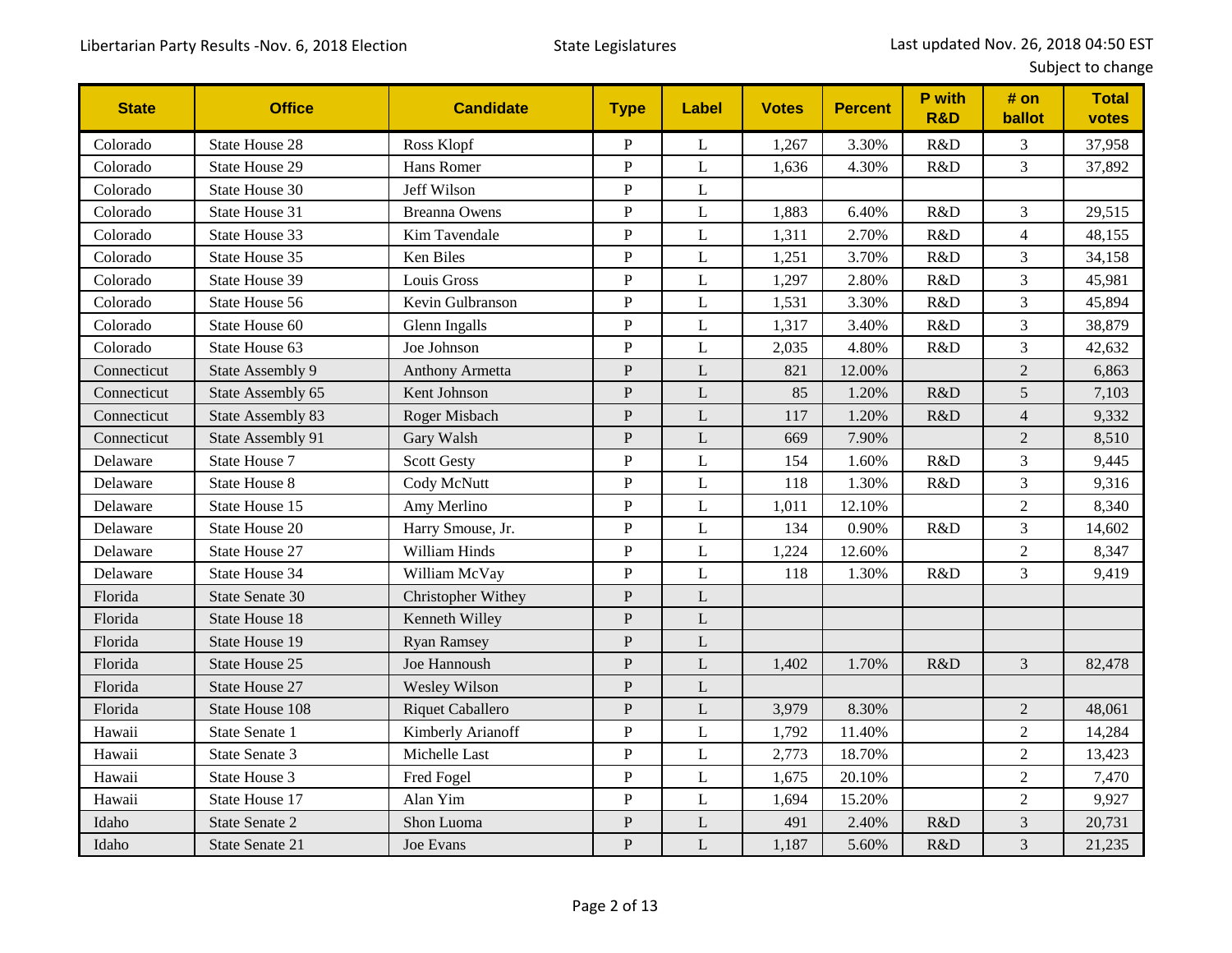| <b>State</b> | <b>Office</b>         | <b>Candidate</b>     | <b>Type</b>    | <b>Label</b> | <b>Votes</b> | <b>Percent</b> | P with<br><b>R&amp;D</b> | # on<br>ballot | <b>Total</b><br>votes |
|--------------|-----------------------|----------------------|----------------|--------------|--------------|----------------|--------------------------|----------------|-----------------------|
| Colorado     | <b>State House 28</b> | Ross Klopf           | ${\bf P}$      | L            | 1,267        | 3.30%          | R&D                      | 3              | 37,958                |
| Colorado     | <b>State House 29</b> | Hans Romer           | ${\bf P}$      | L            | 1,636        | 4.30%          | R&D                      | 3              | 37,892                |
| Colorado     | State House 30        | Jeff Wilson          | ${\bf P}$      | L            |              |                |                          |                |                       |
| Colorado     | State House 31        | <b>Breanna Owens</b> | ${\bf P}$      | L            | 1,883        | 6.40%          | R&D                      | 3              | 29,515                |
| Colorado     | State House 33        | Kim Tavendale        | $\overline{P}$ | L            | 1,311        | 2.70%          | R&D                      | $\overline{4}$ | 48,155                |
| Colorado     | State House 35        | Ken Biles            | $\mathbf{P}$   | L            | 1,251        | 3.70%          | R&D                      | 3              | 34,158                |
| Colorado     | State House 39        | Louis Gross          | ${\bf P}$      | L            | 1,297        | 2.80%          | R&D                      | 3              | 45,981                |
| Colorado     | State House 56        | Kevin Gulbranson     | ${\bf P}$      | L            | 1,531        | 3.30%          | R&D                      | 3              | 45,894                |
| Colorado     | State House 60        | Glenn Ingalls        | ${\bf P}$      | $\mathbf L$  | 1,317        | 3.40%          | R&D                      | $\overline{3}$ | 38,879                |
| Colorado     | State House 63        | Joe Johnson          | $\mathbf{P}$   | L            | 2,035        | 4.80%          | R&D                      | 3              | 42,632                |
| Connecticut  | State Assembly 9      | Anthony Armetta      | ${\bf P}$      | L            | 821          | 12.00%         |                          | $\overline{2}$ | 6,863                 |
| Connecticut  | State Assembly 65     | Kent Johnson         | ${\bf P}$      | L            | 85           | 1.20%          | R&D                      | 5              | 7,103                 |
| Connecticut  | State Assembly 83     | Roger Misbach        | ${\bf P}$      | L            | 117          | 1.20%          | R&D                      | $\overline{4}$ | 9,332                 |
| Connecticut  | State Assembly 91     | Gary Walsh           | ${\bf P}$      | L            | 669          | 7.90%          |                          | $\overline{2}$ | 8,510                 |
| Delaware     | State House 7         | <b>Scott Gesty</b>   | ${\bf P}$      | L            | 154          | 1.60%          | R&D                      | 3              | 9,445                 |
| Delaware     | <b>State House 8</b>  | Cody McNutt          | ${\bf P}$      | L            | 118          | 1.30%          | R&D                      | 3              | 9,316                 |
| Delaware     | State House 15        | Amy Merlino          | ${\bf P}$      | $\mathbf L$  | 1,011        | 12.10%         |                          | $\overline{c}$ | 8,340                 |
| Delaware     | State House 20        | Harry Smouse, Jr.    | ${\bf P}$      | L            | 134          | 0.90%          | R&D                      | 3              | 14,602                |
| Delaware     | State House 27        | William Hinds        | ${\bf P}$      | L            | 1,224        | 12.60%         |                          | $\overline{2}$ | 8,347                 |
| Delaware     | State House 34        | William McVay        | ${\bf P}$      | L            | 118          | 1.30%          | R&D                      | 3              | 9,419                 |
| Florida      | State Senate 30       | Christopher Withey   | $\mathbf{P}$   | L            |              |                |                          |                |                       |
| Florida      | <b>State House 18</b> | Kenneth Willey       | $\mathbf{P}$   | L            |              |                |                          |                |                       |
| Florida      | State House 19        | <b>Ryan Ramsey</b>   | ${\bf P}$      | L            |              |                |                          |                |                       |
| Florida      | State House 25        | Joe Hannoush         | ${\bf P}$      | L            | 1,402        | 1.70%          | R&D                      | $\overline{3}$ | 82,478                |
| Florida      | State House 27        | Wesley Wilson        | ${\bf P}$      | L            |              |                |                          |                |                       |
| Florida      | State House 108       | Riquet Caballero     | $\mathbf{P}$   | L            | 3,979        | 8.30%          |                          | $\overline{2}$ | 48,061                |
| Hawaii       | State Senate 1        | Kimberly Arianoff    | ${\bf P}$      | L            | 1,792        | 11.40%         |                          | $\overline{c}$ | 14,284                |
| Hawaii       | State Senate 3        | Michelle Last        | ${\bf P}$      | L            | 2,773        | 18.70%         |                          | $\sqrt{2}$     | 13,423                |
| Hawaii       | State House 3         | Fred Fogel           | ${\bf P}$      | L            | 1,675        | 20.10%         |                          | $\overline{2}$ | 7,470                 |
| Hawaii       | State House 17        | Alan Yim             | $\mathbf{P}$   | L            | 1,694        | 15.20%         |                          | $\overline{2}$ | 9,927                 |
| Idaho        | State Senate 2        | Shon Luoma           | ${\bf P}$      | L            | 491          | 2.40%          | R&D                      | 3              | 20,731                |
| Idaho        | State Senate 21       | Joe Evans            | $\mathbf{P}$   | $\mathbf{L}$ | 1,187        | 5.60%          | R&D                      | 3              | 21,235                |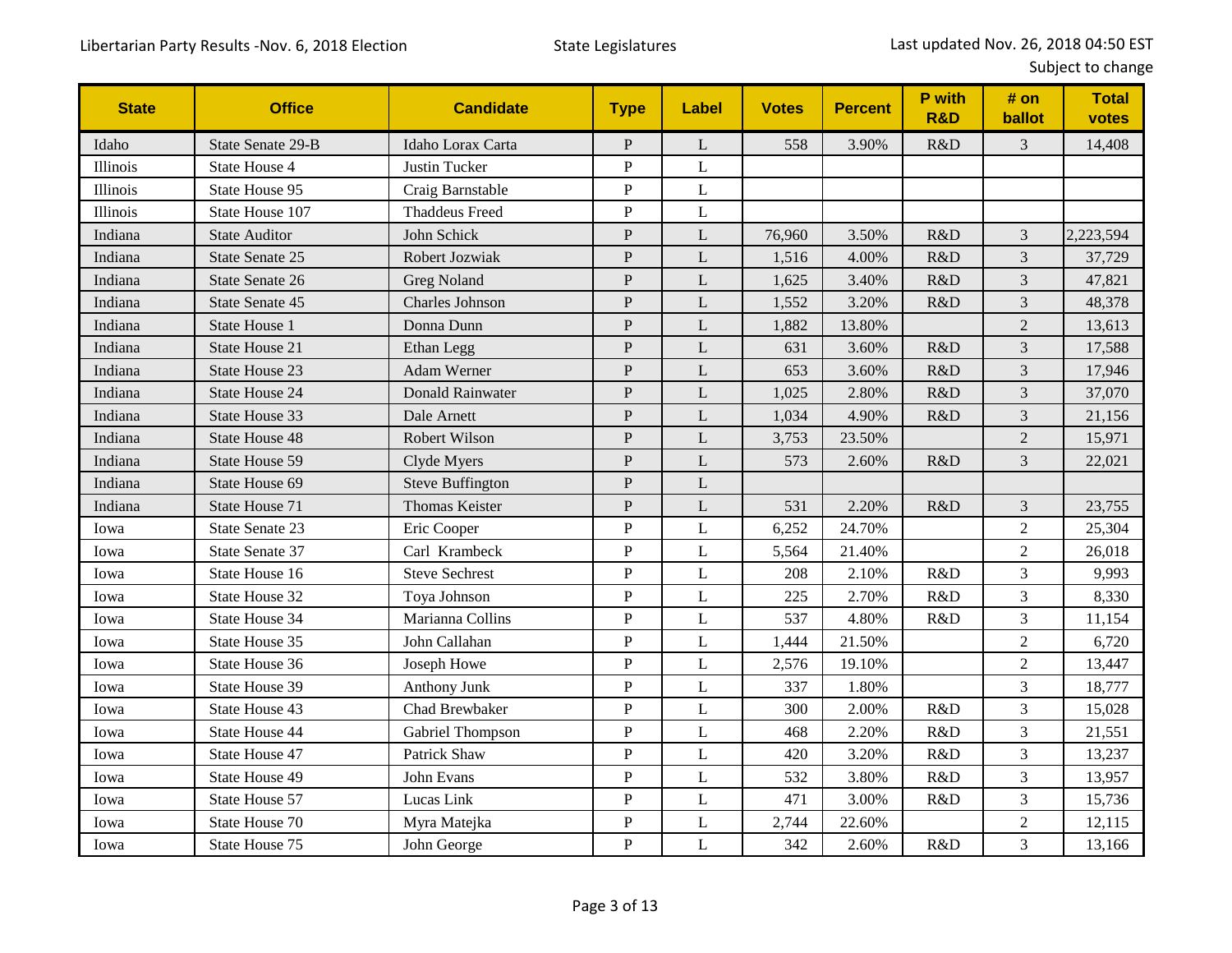| <b>State</b> | <b>Office</b>         | <b>Candidate</b>        | <b>Type</b>    | Label       | <b>Votes</b> | <b>Percent</b> | P with<br><b>R&amp;D</b> | # on<br>ballot | <b>Total</b><br>votes |
|--------------|-----------------------|-------------------------|----------------|-------------|--------------|----------------|--------------------------|----------------|-----------------------|
| Idaho        | State Senate 29-B     | Idaho Lorax Carta       | ${\bf P}$      | L           | 558          | 3.90%          | R&D                      | 3              | 14,408                |
| Illinois     | State House 4         | Justin Tucker           | ${\bf P}$      | L           |              |                |                          |                |                       |
| Illinois     | State House 95        | Craig Barnstable        | ${\bf P}$      | L           |              |                |                          |                |                       |
| Illinois     | State House 107       | <b>Thaddeus Freed</b>   | ${\bf P}$      | L           |              |                |                          |                |                       |
| Indiana      | <b>State Auditor</b>  | John Schick             | $\mathbf{P}$   | L           | 76,960       | 3.50%          | R&D                      | 3              | 2,223,594             |
| Indiana      | State Senate 25       | Robert Jozwiak          | ${\bf P}$      | L           | 1,516        | 4.00%          | R&D                      | 3              | 37,729                |
| Indiana      | State Senate 26       | <b>Greg Noland</b>      | ${\bf P}$      | L           | 1,625        | 3.40%          | R&D                      | 3              | 47,821                |
| Indiana      | State Senate 45       | <b>Charles Johnson</b>  | ${\bf P}$      | L           | 1,552        | 3.20%          | R&D                      | 3              | 48,378                |
| Indiana      | State House 1         | Donna Dunn              | ${\bf P}$      | L           | 1,882        | 13.80%         |                          | $\overline{2}$ | 13,613                |
| Indiana      | State House 21        | Ethan Legg              | ${\bf P}$      | L           | 631          | 3.60%          | R&D                      | 3              | 17,588                |
| Indiana      | State House 23        | Adam Werner             | ${\bf P}$      | L           | 653          | 3.60%          | R&D                      | 3              | 17,946                |
| Indiana      | <b>State House 24</b> | <b>Donald Rainwater</b> | ${\bf P}$      | L           | 1,025        | 2.80%          | R&D                      | 3              | 37,070                |
| Indiana      | State House 33        | Dale Arnett             | ${\bf P}$      | $\mathbf L$ | 1,034        | 4.90%          | R&D                      | 3              | 21,156                |
| Indiana      | State House 48        | Robert Wilson           | ${\bf P}$      | L           | 3,753        | 23.50%         |                          | $\overline{c}$ | 15,971                |
| Indiana      | State House 59        | Clyde Myers             | ${\bf P}$      | L           | 573          | 2.60%          | R&D                      | $\overline{3}$ | 22,021                |
| Indiana      | State House 69        | <b>Steve Buffington</b> | $\mathbf{P}$   | L           |              |                |                          |                |                       |
| Indiana      | State House 71        | <b>Thomas Keister</b>   | $\mathbf P$    | L           | 531          | 2.20%          | R&D                      | 3              | 23,755                |
| Iowa         | State Senate 23       | Eric Cooper             | ${\bf P}$      | L           | 6,252        | 24.70%         |                          | $\overline{c}$ | 25,304                |
| Iowa         | State Senate 37       | Carl Krambeck           | $\mathbf P$    | L           | 5,564        | 21.40%         |                          | $\overline{c}$ | 26,018                |
| Iowa         | State House 16        | <b>Steve Sechrest</b>   | $\mathbf P$    | L           | 208          | 2.10%          | R&D                      | 3              | 9,993                 |
| Iowa         | State House 32        | Toya Johnson            | ${\bf P}$      | L           | 225          | 2.70%          | R&D                      | 3              | 8,330                 |
| Iowa         | State House 34        | Marianna Collins        | ${\bf P}$      | L           | 537          | 4.80%          | R&D                      | 3              | 11,154                |
| Iowa         | State House 35        | John Callahan           | $\, {\bf P}$   | L           | 1,444        | 21.50%         |                          | $\sqrt{2}$     | 6,720                 |
| Iowa         | State House 36        | Joseph Howe             | ${\bf P}$      | L           | 2,576        | 19.10%         |                          | $\overline{2}$ | 13,447                |
| Iowa         | State House 39        | Anthony Junk            | ${\bf P}$      | L           | 337          | 1.80%          |                          | 3              | 18,777                |
| Iowa         | State House 43        | Chad Brewbaker          | ${\bf P}$      | L           | 300          | 2.00%          | R&D                      | 3              | 15,028                |
| Iowa         | <b>State House 44</b> | Gabriel Thompson        | $\overline{P}$ | L           | 468          | 2.20%          | R&D                      | 3              | 21,551                |
| Iowa         | State House 47        | <b>Patrick Shaw</b>     | $\, {\bf P}$   | L           | 420          | 3.20%          | R&D                      | 3              | 13,237                |
| Iowa         | State House 49        | John Evans              | ${\bf P}$      | L           | 532          | 3.80%          | R&D                      | 3              | 13,957                |
| Iowa         | State House 57        | Lucas Link              | $\, {\bf P}$   | L           | 471          | 3.00%          | R&D                      | 3              | 15,736                |
| Iowa         | State House 70        | Myra Matejka            | ${\bf P}$      | L           | 2,744        | 22.60%         |                          | $\overline{2}$ | 12,115                |
| Iowa         | State House 75        | John George             | $\mathbf{P}$   | L           | 342          | 2.60%          | R&D                      | 3              | 13,166                |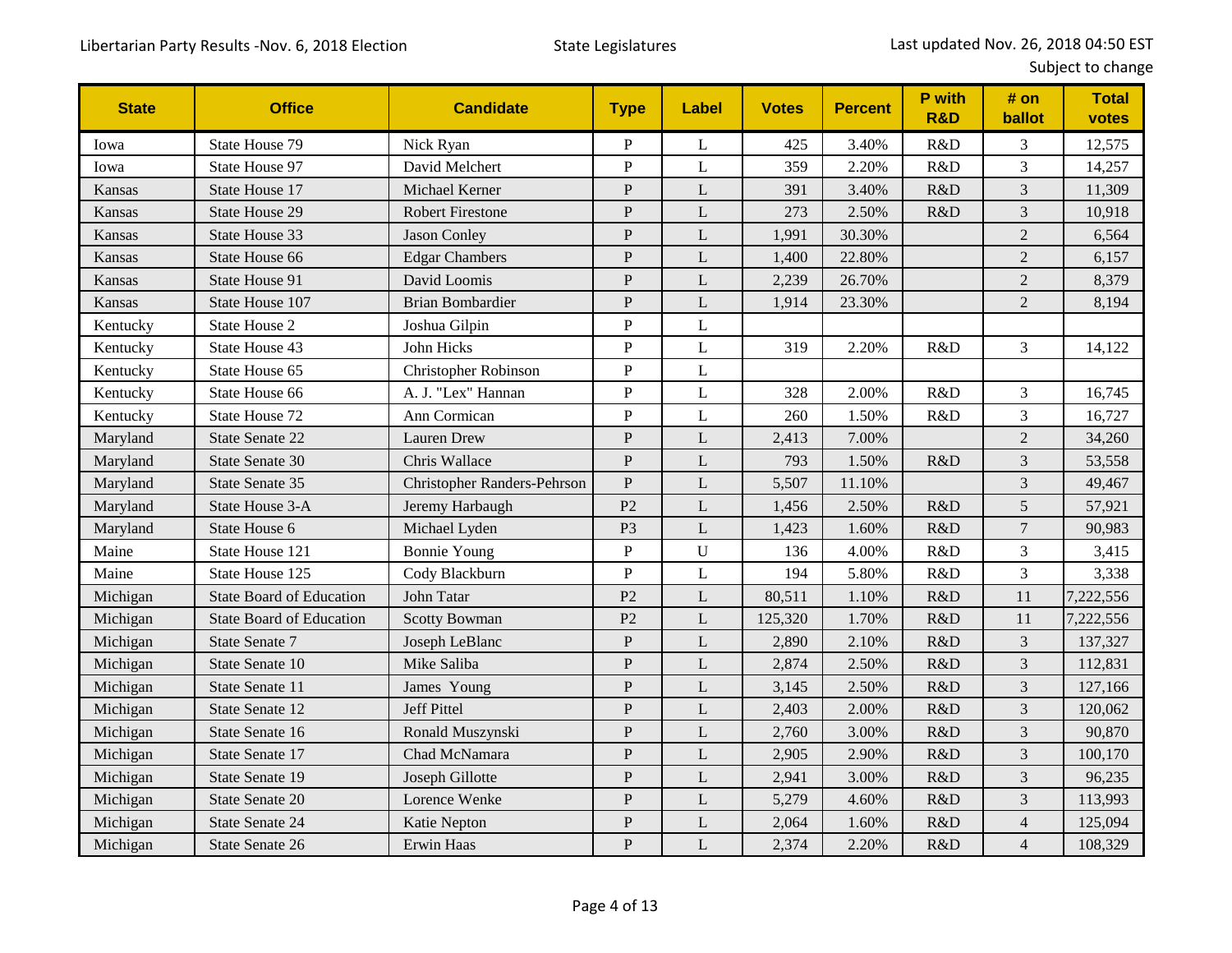| <b>State</b>  | <b>Office</b>                   | <b>Candidate</b>                   | <b>Type</b>    | Label        | <b>Votes</b> | <b>Percent</b> | P with<br><b>R&amp;D</b> | # on<br>ballot | <b>Total</b><br>votes |
|---------------|---------------------------------|------------------------------------|----------------|--------------|--------------|----------------|--------------------------|----------------|-----------------------|
| Iowa          | State House 79                  | Nick Ryan                          | P              | L            | 425          | 3.40%          | R&D                      | 3              | 12,575                |
| Iowa          | State House 97                  | David Melchert                     | ${\bf P}$      | L            | 359          | 2.20%          | R&D                      | 3              | 14,257                |
| Kansas        | State House 17                  | Michael Kerner                     | ${\bf P}$      | L            | 391          | 3.40%          | R&D                      | 3              | 11,309                |
| Kansas        | State House 29                  | <b>Robert Firestone</b>            | $\mathbf{P}$   | L            | 273          | 2.50%          | R&D                      | $\overline{3}$ | 10,918                |
| Kansas        | State House 33                  | Jason Conley                       | ${\bf P}$      | L            | 1,991        | 30.30%         |                          | $\overline{2}$ | 6,564                 |
| Kansas        | State House 66                  | <b>Edgar Chambers</b>              | $\mathbf{P}$   | L            | 1,400        | 22.80%         |                          | $\overline{2}$ | 6,157                 |
| <b>Kansas</b> | State House 91                  | David Loomis                       | ${\bf P}$      | L            | 2,239        | 26.70%         |                          | $\overline{2}$ | 8,379                 |
| <b>Kansas</b> | State House 107                 | <b>Brian Bombardier</b>            | ${\bf P}$      | L            | 1,914        | 23.30%         |                          | $\overline{2}$ | 8,194                 |
| Kentucky      | State House 2                   | Joshua Gilpin                      | ${\bf P}$      | L            |              |                |                          |                |                       |
| Kentucky      | State House 43                  | John Hicks                         | ${\bf P}$      | L            | 319          | 2.20%          | R&D                      | 3              | 14,122                |
| Kentucky      | State House 65                  | <b>Christopher Robinson</b>        | $\mathbf P$    | L            |              |                |                          |                |                       |
| Kentucky      | State House 66                  | A. J. "Lex" Hannan                 | $\mathbf{P}$   | L            | 328          | 2.00%          | R&D                      | 3              | 16,745                |
| Kentucky      | State House 72                  | Ann Cormican                       | $\overline{P}$ | L            | 260          | 1.50%          | R&D                      | $\overline{3}$ | 16,727                |
| Maryland      | State Senate 22                 | <b>Lauren Drew</b>                 | ${\bf P}$      | L            | 2,413        | 7.00%          |                          | $\sqrt{2}$     | 34,260                |
| Maryland      | State Senate 30                 | Chris Wallace                      | $\mathbf{P}$   | L            | 793          | 1.50%          | R&D                      | 3              | 53,558                |
| Maryland      | State Senate 35                 | <b>Christopher Randers-Pehrson</b> | $\mathbf{P}$   | L            | 5,507        | 11.10%         |                          | 3              | 49,467                |
| Maryland      | State House 3-A                 | Jeremy Harbaugh                    | P <sub>2</sub> | L            | 1,456        | 2.50%          | R&D                      | 5              | 57,921                |
| Maryland      | State House 6                   | Michael Lyden                      | P <sub>3</sub> | L            | 1,423        | 1.60%          | R&D                      | $\overline{7}$ | 90,983                |
| Maine         | State House 121                 | <b>Bonnie Young</b>                | $\overline{P}$ | $\mathbf{U}$ | 136          | 4.00%          | R&D                      | $\overline{3}$ | 3,415                 |
| Maine         | State House 125                 | Cody Blackburn                     | ${\bf P}$      | L            | 194          | 5.80%          | R&D                      | 3              | 3,338                 |
| Michigan      | <b>State Board of Education</b> | John Tatar                         | P <sub>2</sub> | L            | 80,511       | 1.10%          | R&D                      | 11             | 7,222,556             |
| Michigan      | <b>State Board of Education</b> | <b>Scotty Bowman</b>               | P <sub>2</sub> | L            | 125,320      | 1.70%          | R&D                      | 11             | 7,222,556             |
| Michigan      | State Senate 7                  | Joseph LeBlanc                     | ${\bf P}$      | L            | 2,890        | 2.10%          | R&D                      | 3              | 137,327               |
| Michigan      | State Senate 10                 | Mike Saliba                        | $\mathbf{P}$   | L            | 2,874        | 2.50%          | R&D                      | $\overline{3}$ | 112,831               |
| Michigan      | State Senate 11                 | James Young                        | $\mathbf{P}$   | L            | 3,145        | 2.50%          | R&D                      | 3              | 127,166               |
| Michigan      | State Senate 12                 | Jeff Pittel                        | ${\bf P}$      | L            | 2,403        | 2.00%          | R&D                      | 3              | 120,062               |
| Michigan      | State Senate 16                 | Ronald Muszynski                   | ${\bf P}$      | L            | 2,760        | 3.00%          | R&D                      | 3              | 90,870                |
| Michigan      | State Senate 17                 | Chad McNamara                      | $\mathbf{P}$   | L            | 2,905        | 2.90%          | R&D                      | 3              | 100,170               |
| Michigan      | State Senate 19                 | Joseph Gillotte                    | $\mathbf{P}$   | L            | 2,941        | 3.00%          | R&D                      | 3              | 96,235                |
| Michigan      | State Senate 20                 | Lorence Wenke                      | ${\bf P}$      | L            | 5,279        | 4.60%          | R&D                      | $\overline{3}$ | 113,993               |
| Michigan      | <b>State Senate 24</b>          | Katie Nepton                       | $\overline{P}$ | L            | 2,064        | 1.60%          | R&D                      | $\overline{4}$ | 125,094               |
| Michigan      | State Senate 26                 | Erwin Haas                         | $\mathbf{P}$   | L            | 2,374        | 2.20%          | R&D                      | $\overline{4}$ | 108,329               |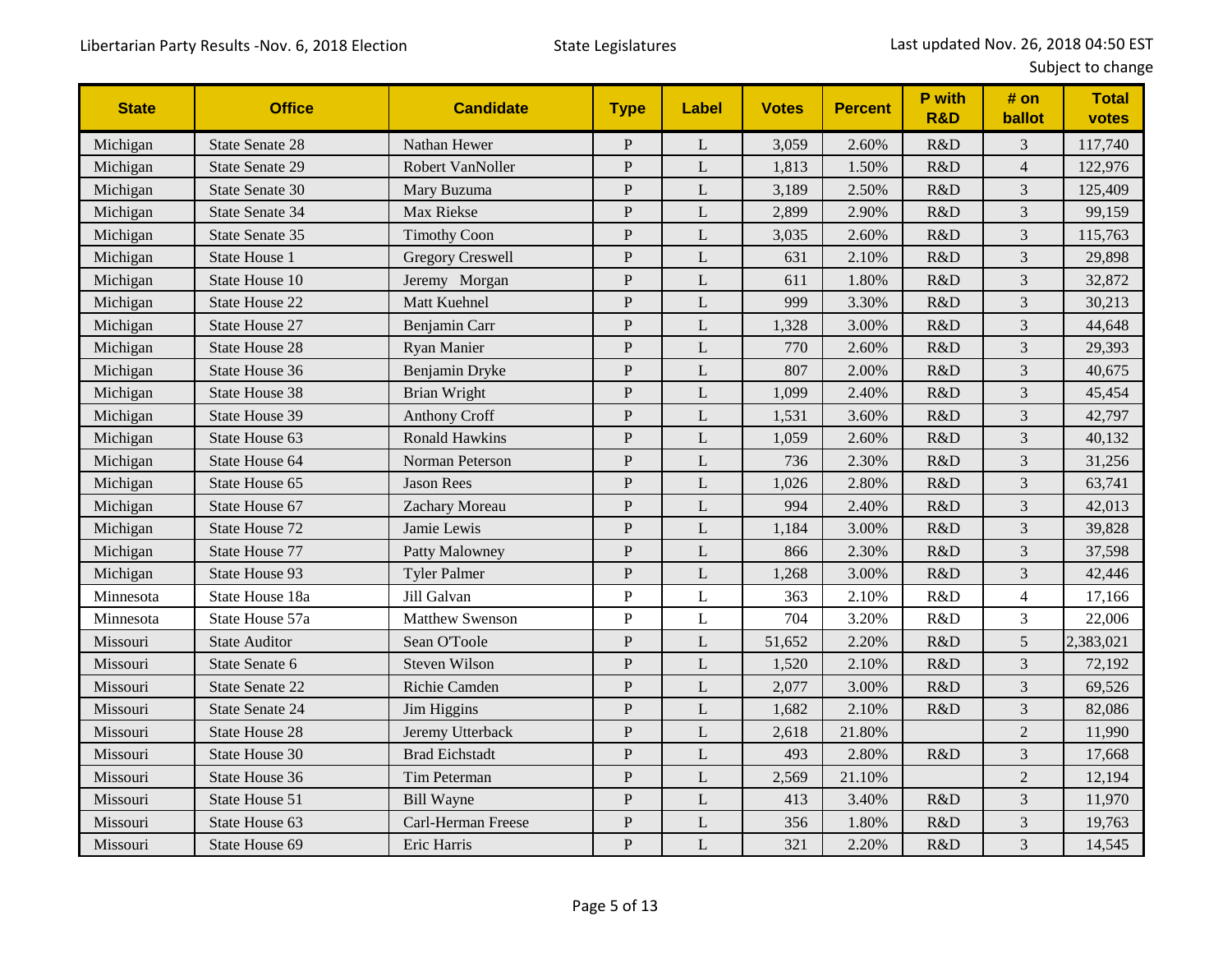| <b>State</b> | <b>Office</b>          | <b>Candidate</b>        | <b>Type</b>    | Label        | <b>Votes</b> | <b>Percent</b> | P with<br><b>R&amp;D</b> | # on<br>ballot | <b>Total</b><br>votes |
|--------------|------------------------|-------------------------|----------------|--------------|--------------|----------------|--------------------------|----------------|-----------------------|
| Michigan     | <b>State Senate 28</b> | Nathan Hewer            | $\mathbf{P}$   | L            | 3,059        | 2.60%          | R&D                      | 3              | 117,740               |
| Michigan     | <b>State Senate 29</b> | Robert VanNoller        | $\mathbf{P}$   | L            | 1,813        | 1.50%          | R&D                      | $\overline{4}$ | 122,976               |
| Michigan     | State Senate 30        | Mary Buzuma             | ${\bf P}$      | L            | 3,189        | 2.50%          | R&D                      | 3              | 125,409               |
| Michigan     | State Senate 34        | Max Riekse              | $\mathbf P$    | L            | 2,899        | 2.90%          | R&D                      | 3              | 99,159                |
| Michigan     | State Senate 35        | <b>Timothy Coon</b>     | $\mathbf P$    | L            | 3,035        | 2.60%          | R&D                      | 3              | 115,763               |
| Michigan     | State House 1          | <b>Gregory Creswell</b> | ${\bf P}$      | L            | 631          | 2.10%          | R&D                      | 3              | 29,898                |
| Michigan     | State House 10         | Jeremy Morgan           | $\mathbf{P}$   | $\mathbf{L}$ | 611          | 1.80%          | R&D                      | $\mathfrak{Z}$ | 32,872                |
| Michigan     | <b>State House 22</b>  | Matt Kuehnel            | $\mathbf{P}$   | L            | 999          | 3.30%          | R&D                      | 3              | 30,213                |
| Michigan     | State House 27         | Benjamin Carr           | ${\bf P}$      | L            | 1,328        | 3.00%          | R&D                      | $\mathfrak{Z}$ | 44,648                |
| Michigan     | <b>State House 28</b>  | Ryan Manier             | $\mathbf P$    | L            | 770          | 2.60%          | R&D                      | $\mathfrak 3$  | 29,393                |
| Michigan     | State House 36         | Benjamin Dryke          | $\mathbf{P}$   | L            | 807          | 2.00%          | R&D                      | 3              | 40,675                |
| Michigan     | State House 38         | <b>Brian Wright</b>     | $\mathbf P$    | L            | 1,099        | 2.40%          | R&D                      | $\overline{3}$ | 45,454                |
| Michigan     | State House 39         | <b>Anthony Croff</b>    | $\mathbf P$    | L            | 1,531        | 3.60%          | R&D                      | 3              | 42,797                |
| Michigan     | State House 63         | <b>Ronald Hawkins</b>   | $\mathbf{P}$   | L            | 1,059        | 2.60%          | R&D                      | 3              | 40,132                |
| Michigan     | State House 64         | Norman Peterson         | $\mathbf{P}$   | $\mathbf{L}$ | 736          | 2.30%          | R&D                      | 3              | 31,256                |
| Michigan     | State House 65         | <b>Jason Rees</b>       | $\mathbf P$    | L            | 1,026        | 2.80%          | R&D                      | 3              | 63,741                |
| Michigan     | State House 67         | Zachary Moreau          | $\, {\bf P}$   | L            | 994          | 2.40%          | R&D                      | 3              | 42,013                |
| Michigan     | State House 72         | Jamie Lewis             | $\mathbf{P}$   | L            | 1,184        | 3.00%          | R&D                      | $\overline{3}$ | 39,828                |
| Michigan     | State House 77         | Patty Malowney          | $\overline{P}$ | L            | 866          | 2.30%          | R&D                      | 3              | 37,598                |
| Michigan     | State House 93         | <b>Tyler Palmer</b>     | ${\bf P}$      | L            | 1,268        | 3.00%          | R&D                      | 3              | 42,446                |
| Minnesota    | State House 18a        | Jill Galvan             | $\mathbf P$    | L            | 363          | 2.10%          | R&D                      | $\overline{4}$ | 17,166                |
| Minnesota    | State House 57a        | <b>Matthew Swenson</b>  | $\mathbf{P}$   | L            | 704          | 3.20%          | R&D                      | 3              | 22,006                |
| Missouri     | <b>State Auditor</b>   | Sean O'Toole            | $\mathbf{P}$   | L            | 51,652       | 2.20%          | R&D                      | $\mathfrak{S}$ | 2,383,021             |
| Missouri     | State Senate 6         | <b>Steven Wilson</b>    | $\mathbf{P}$   | L            | 1,520        | 2.10%          | R&D                      | 3              | 72,192                |
| Missouri     | State Senate 22        | Richie Camden           | $\mathbf{P}$   | L            | 2,077        | 3.00%          | R&D                      | 3              | 69,526                |
| Missouri     | State Senate 24        | Jim Higgins             | $\mathbf{P}$   | L            | 1,682        | 2.10%          | R&D                      | $\mathfrak{Z}$ | 82,086                |
| Missouri     | <b>State House 28</b>  | Jeremy Utterback        | $\mathbf P$    | L            | 2,618        | 21.80%         |                          | $\sqrt{2}$     | 11,990                |
| Missouri     | State House 30         | <b>Brad Eichstadt</b>   | $\overline{P}$ | $\mathbf L$  | 493          | 2.80%          | R&D                      | 3              | 17,668                |
| Missouri     | State House 36         | Tim Peterman            | ${\bf P}$      | L            | 2,569        | 21.10%         |                          | $\overline{2}$ | 12,194                |
| Missouri     | State House 51         | <b>Bill Wayne</b>       | $\mathbf P$    | L            | 413          | 3.40%          | R&D                      | 3              | 11,970                |
| Missouri     | State House 63         | Carl-Herman Freese      | $\mathbf P$    | L            | 356          | 1.80%          | R&D                      | 3              | 19,763                |
| Missouri     | State House 69         | Eric Harris             | $\mathbf{P}$   | L            | 321          | 2.20%          | R&D                      | 3              | 14,545                |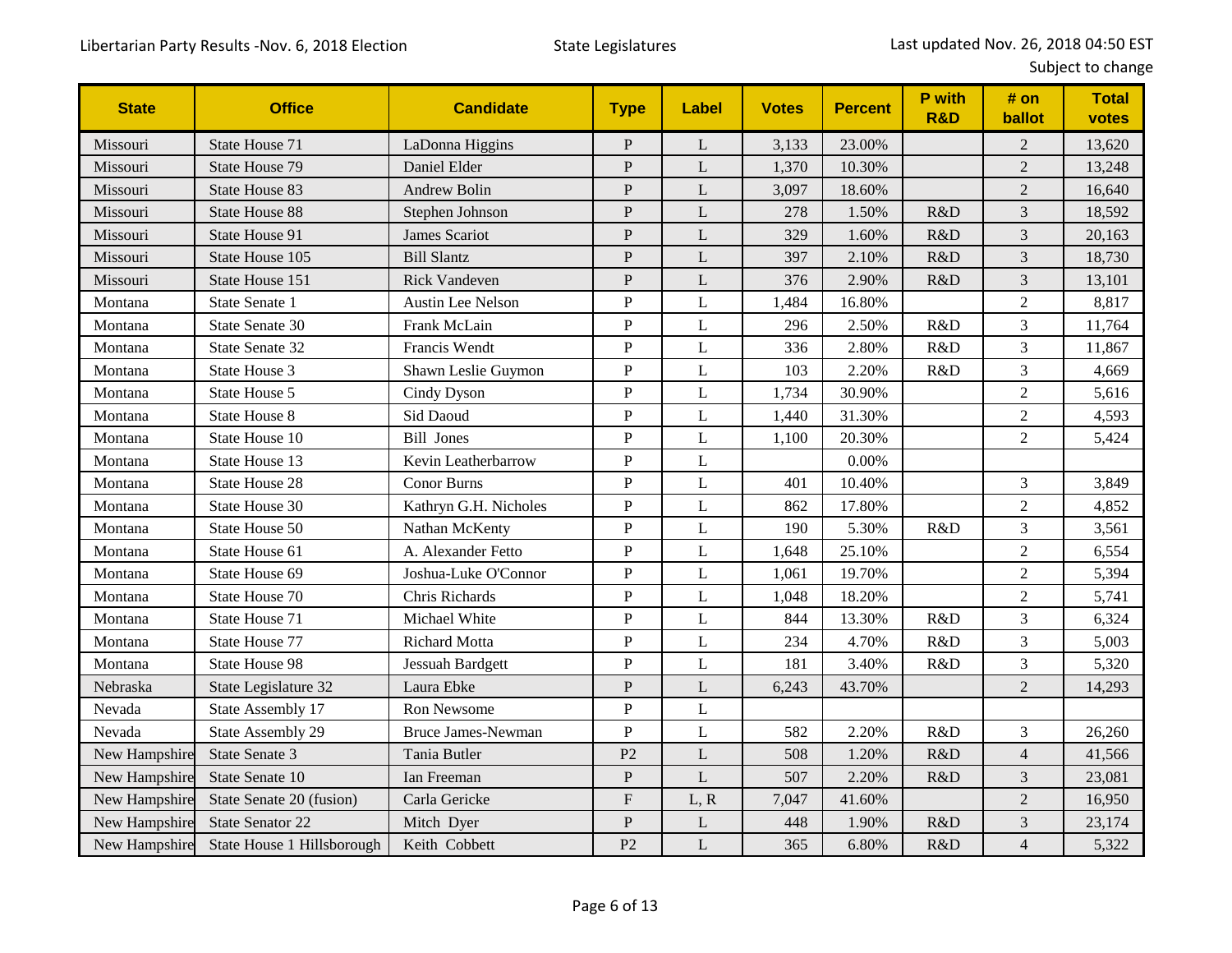| <b>State</b>  | <b>Office</b>              | <b>Candidate</b>          | <b>Type</b>               | <b>Label</b> | <b>Votes</b> | <b>Percent</b> | P with<br><b>R&amp;D</b> | # on<br>ballot | <b>Total</b><br>votes |
|---------------|----------------------------|---------------------------|---------------------------|--------------|--------------|----------------|--------------------------|----------------|-----------------------|
| Missouri      | State House 71             | LaDonna Higgins           | $\mathbf{P}$              | L            | 3,133        | 23.00%         |                          | $\overline{2}$ | 13,620                |
| Missouri      | State House 79             | Daniel Elder              | ${\bf P}$                 | L            | 1,370        | 10.30%         |                          | $\overline{2}$ | 13,248                |
| Missouri      | State House 83             | <b>Andrew Bolin</b>       | ${\bf P}$                 | L            | 3,097        | 18.60%         |                          | $\overline{2}$ | 16,640                |
| Missouri      | <b>State House 88</b>      | Stephen Johnson           | ${\bf P}$                 | L            | 278          | 1.50%          | R&D                      | $\overline{3}$ | 18,592                |
| Missouri      | State House 91             | James Scariot             | $\mathbf{P}$              | L            | 329          | 1.60%          | R&D                      | 3              | 20,163                |
| Missouri      | State House 105            | <b>Bill Slantz</b>        | $\mathbf{P}$              | L            | 397          | 2.10%          | R&D                      | $\overline{3}$ | 18,730                |
| Missouri      | State House 151            | <b>Rick Vandeven</b>      | ${\bf P}$                 | L            | 376          | 2.90%          | R&D                      | 3              | 13,101                |
| Montana       | State Senate 1             | Austin Lee Nelson         | ${\bf P}$                 | L            | 1,484        | 16.80%         |                          | $\overline{2}$ | 8,817                 |
| Montana       | State Senate 30            | Frank McLain              | ${\bf P}$                 | L            | 296          | 2.50%          | R&D                      | 3              | 11,764                |
| Montana       | State Senate 32            | Francis Wendt             | $\mathbf{P}$              | L            | 336          | 2.80%          | R&D                      | $\overline{3}$ | 11,867                |
| Montana       | State House 3              | Shawn Leslie Guymon       | ${\bf P}$                 | L            | 103          | 2.20%          | R&D                      | 3              | 4,669                 |
| Montana       | State House 5              | Cindy Dyson               | ${\bf P}$                 | L            | 1,734        | 30.90%         |                          | $\overline{c}$ | 5,616                 |
| Montana       | <b>State House 8</b>       | Sid Daoud                 | ${\bf P}$                 | L            | 1,440        | 31.30%         |                          | $\overline{2}$ | 4,593                 |
| Montana       | State House 10             | <b>Bill Jones</b>         | $\mathbf{P}$              | L            | 1,100        | 20.30%         |                          | $\overline{2}$ | 5,424                 |
| Montana       | State House 13             | Kevin Leatherbarrow       | ${\bf P}$                 | L            |              | 0.00%          |                          |                |                       |
| Montana       | State House 28             | <b>Conor Burns</b>        | ${\bf P}$                 | L            | 401          | 10.40%         |                          | 3              | 3,849                 |
| Montana       | State House 30             | Kathryn G.H. Nicholes     | ${\bf P}$                 | $\mathbf L$  | 862          | 17.80%         |                          | $\overline{c}$ | 4,852                 |
| Montana       | State House 50             | Nathan McKenty            | ${\bf P}$                 | L            | 190          | 5.30%          | R&D                      | $\overline{3}$ | 3,561                 |
| Montana       | State House 61             | A. Alexander Fetto        | ${\bf P}$                 | L            | 1,648        | 25.10%         |                          | $\overline{2}$ | 6,554                 |
| Montana       | State House 69             | Joshua-Luke O'Connor      | ${\bf P}$                 | L            | 1,061        | 19.70%         |                          | $\overline{2}$ | 5,394                 |
| Montana       | State House 70             | Chris Richards            | $\mathbf{P}$              | L            | 1,048        | 18.20%         |                          | $\overline{2}$ | 5,741                 |
| Montana       | State House 71             | Michael White             | ${\bf P}$                 | L            | 844          | 13.30%         | R&D                      | 3              | 6,324                 |
| Montana       | State House 77             | <b>Richard Motta</b>      | ${\bf P}$                 | L            | 234          | 4.70%          | R&D                      | 3              | 5,003                 |
| Montana       | State House 98             | Jessuah Bardgett          | ${\bf P}$                 | L            | 181          | 3.40%          | R&D                      | 3              | 5,320                 |
| Nebraska      | State Legislature 32       | Laura Ebke                | ${\bf P}$                 | L            | 6,243        | 43.70%         |                          | $\overline{2}$ | 14,293                |
| Nevada        | State Assembly 17          | Ron Newsome               | ${\bf P}$                 | L            |              |                |                          |                |                       |
| Nevada        | State Assembly 29          | <b>Bruce James-Newman</b> | ${\bf P}$                 | L            | 582          | 2.20%          | R&D                      | 3              | 26,260                |
| New Hampshire | State Senate 3             | Tania Butler              | P <sub>2</sub>            | L            | 508          | 1.20%          | R&D                      | $\overline{4}$ | 41,566                |
| New Hampshire | State Senate 10            | Ian Freeman               | P                         | L            | 507          | 2.20%          | R&D                      | $\mathfrak{Z}$ | 23,081                |
| New Hampshire | State Senate 20 (fusion)   | Carla Gericke             | $\boldsymbol{\mathrm{F}}$ | L, R         | 7,047        | 41.60%         |                          | $\overline{2}$ | 16,950                |
| New Hampshire | <b>State Senator 22</b>    | Mitch Dyer                | ${\bf P}$                 | L            | 448          | 1.90%          | R&D                      | 3              | 23,174                |
| New Hampshire | State House 1 Hillsborough | Keith Cobbett             | P <sub>2</sub>            | $\mathbf L$  | 365          | 6.80%          | R&D                      | $\overline{4}$ | 5,322                 |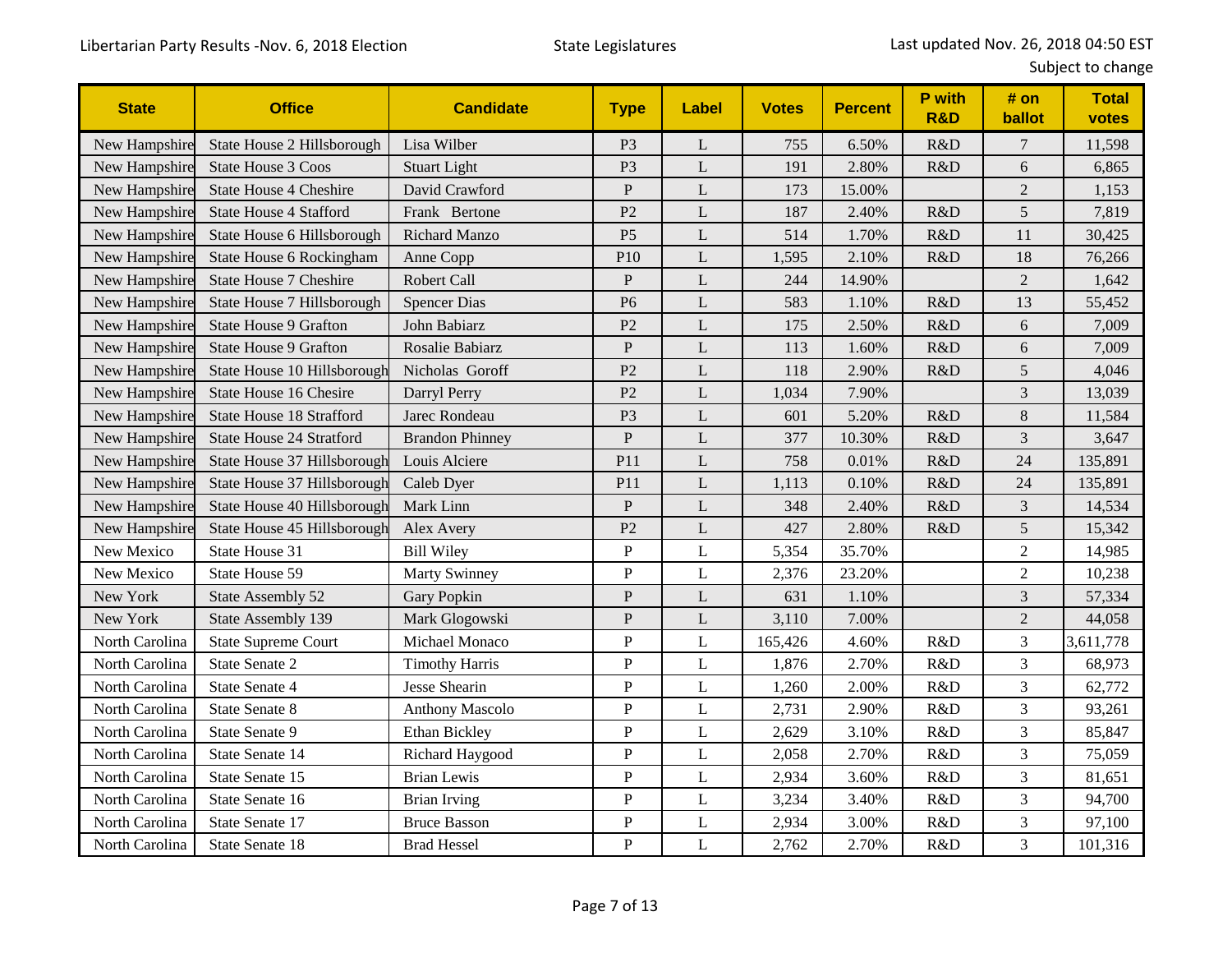| <b>State</b>   | <b>Office</b>                   | <b>Candidate</b>       | <b>Type</b>     | Label | <b>Votes</b> | <b>Percent</b> | P with<br><b>R&amp;D</b> | # on<br>ballot | <b>Total</b><br>votes |
|----------------|---------------------------------|------------------------|-----------------|-------|--------------|----------------|--------------------------|----------------|-----------------------|
| New Hampshire  | State House 2 Hillsborough      | Lisa Wilber            | P <sub>3</sub>  | L     | 755          | 6.50%          | R&D                      | $\overline{7}$ | 11,598                |
| New Hampshire  | <b>State House 3 Coos</b>       | <b>Stuart Light</b>    | P <sub>3</sub>  | L     | 191          | 2.80%          | R&D                      | 6              | 6,865                 |
| New Hampshire  | <b>State House 4 Cheshire</b>   | David Crawford         | ${\bf P}$       | L     | 173          | 15.00%         |                          | $\overline{2}$ | 1,153                 |
| New Hampshire  | <b>State House 4 Stafford</b>   | Frank Bertone          | P <sub>2</sub>  | L     | 187          | 2.40%          | R&D                      | 5              | 7,819                 |
| New Hampshire  | State House 6 Hillsborough      | <b>Richard Manzo</b>   | P <sub>5</sub>  | L     | 514          | 1.70%          | R&D                      | 11             | 30,425                |
| New Hampshire  | State House 6 Rockingham        | Anne Copp              | P <sub>10</sub> | L     | 1,595        | 2.10%          | R&D                      | 18             | 76,266                |
| New Hampshire  | <b>State House 7 Cheshire</b>   | Robert Call            | $\mathbf{P}$    | L     | 244          | 14.90%         |                          | $\overline{2}$ | 1,642                 |
| New Hampshire  | State House 7 Hillsborough      | <b>Spencer Dias</b>    | P <sub>6</sub>  | L     | 583          | 1.10%          | R&D                      | 13             | 55,452                |
| New Hampshire  | <b>State House 9 Grafton</b>    | John Babiarz           | P2              | L     | 175          | 2.50%          | R&D                      | 6              | 7,009                 |
| New Hampshire  | <b>State House 9 Grafton</b>    | Rosalie Babiarz        | ${\bf P}$       | L     | 113          | 1.60%          | R&D                      | 6              | 7,009                 |
| New Hampshire  | State House 10 Hillsborough     | Nicholas Goroff        | P <sub>2</sub>  | L     | 118          | 2.90%          | R&D                      | 5              | 4.046                 |
| New Hampshire  | State House 16 Chesire          | Darryl Perry           | P <sub>2</sub>  | L     | 1,034        | 7.90%          |                          | 3              | 13,039                |
| New Hampshire  | <b>State House 18 Strafford</b> | Jarec Rondeau          | P <sub>3</sub>  | L     | 601          | 5.20%          | R&D                      | $8\,$          | 11,584                |
| New Hampshire  | <b>State House 24 Stratford</b> | <b>Brandon Phinney</b> | ${\bf P}$       | L     | 377          | 10.30%         | R&D                      | 3              | 3,647                 |
| New Hampshire  | State House 37 Hillsborough     | Louis Alciere          | P11             | L     | 758          | 0.01%          | R&D                      | 24             | 135,891               |
| New Hampshire  | State House 37 Hillsborough     | Caleb Dyer             | P11             | L     | 1,113        | 0.10%          | R&D                      | 24             | 135,891               |
| New Hampshire  | State House 40 Hillsborough     | Mark Linn              | ${\bf P}$       | L     | 348          | 2.40%          | R&D                      | 3              | 14,534                |
| New Hampshire  | State House 45 Hillsborough     | Alex Avery             | P <sub>2</sub>  | L     | 427          | 2.80%          | R&D                      | 5              | 15,342                |
| New Mexico     | State House 31                  | <b>Bill Wiley</b>      | $\mathbf{P}$    | L     | 5,354        | 35.70%         |                          | $\overline{2}$ | 14,985                |
| New Mexico     | State House 59                  | <b>Marty Swinney</b>   | ${\bf P}$       | L     | 2,376        | 23.20%         |                          | $\overline{2}$ | 10,238                |
| New York       | State Assembly 52               | <b>Gary Popkin</b>     | $\mathbf{P}$    | L     | 631          | 1.10%          |                          | 3              | 57,334                |
| New York       | State Assembly 139              | Mark Glogowski         | $\mathbf{P}$    | L     | 3,110        | 7.00%          |                          | $\overline{2}$ | 44,058                |
| North Carolina | <b>State Supreme Court</b>      | Michael Monaco         | $\mathbf{P}$    | L     | 165,426      | 4.60%          | R&D                      | 3              | 3,611,778             |
| North Carolina | State Senate 2                  | <b>Timothy Harris</b>  | ${\bf P}$       | L     | 1,876        | 2.70%          | R&D                      | 3              | 68,973                |
| North Carolina | State Senate 4                  | Jesse Shearin          | ${\bf P}$       | L     | 1,260        | 2.00%          | R&D                      | 3              | 62,772                |
| North Carolina | State Senate 8                  | <b>Anthony Mascolo</b> | ${\bf P}$       | L     | 2,731        | 2.90%          | R&D                      | 3              | 93,261                |
| North Carolina | State Senate 9                  | Ethan Bickley          | ${\bf P}$       | L     | 2,629        | 3.10%          | R&D                      | 3              | 85,847                |
| North Carolina | State Senate 14                 | Richard Haygood        | ${\bf P}$       | L     | 2,058        | 2.70%          | R&D                      | 3              | 75,059                |
| North Carolina | State Senate 15                 | <b>Brian Lewis</b>     | ${\bf P}$       | L     | 2,934        | 3.60%          | R&D                      | 3              | 81,651                |
| North Carolina | State Senate 16                 | <b>Brian Irving</b>    | ${\bf P}$       | L     | 3,234        | 3.40%          | R&D                      | 3              | 94,700                |
| North Carolina | State Senate 17                 | <b>Bruce Basson</b>    | $\mathbf{P}$    | L     | 2,934        | 3.00%          | R&D                      | 3              | 97,100                |
| North Carolina | State Senate 18                 | <b>Brad Hessel</b>     | $\mathbf{P}$    | L     | 2,762        | 2.70%          | R&D                      | 3              | 101,316               |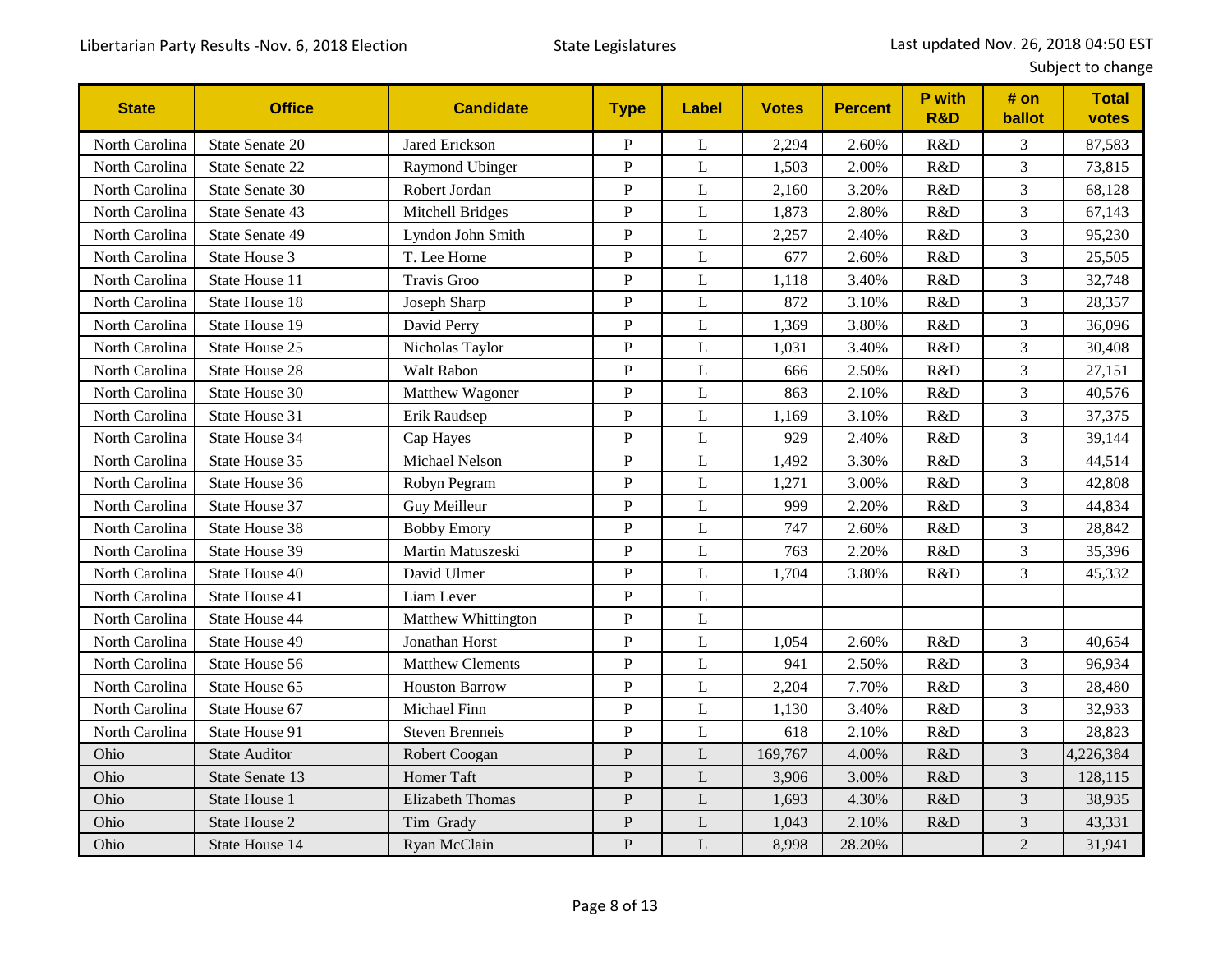| <b>State</b>   | <b>Office</b>          | <b>Candidate</b>        | <b>Type</b>    | Label        | <b>Votes</b> | <b>Percent</b> | <b>P</b> with<br><b>R&amp;D</b> | # on<br>ballot | <b>Total</b><br>votes |
|----------------|------------------------|-------------------------|----------------|--------------|--------------|----------------|---------------------------------|----------------|-----------------------|
| North Carolina | State Senate 20        | Jared Erickson          | ${\bf P}$      | L            | 2,294        | 2.60%          | R&D                             | 3              | 87,583                |
| North Carolina | <b>State Senate 22</b> | Raymond Ubinger         | $\mathbf{P}$   | L            | 1,503        | 2.00%          | R&D                             | 3              | 73,815                |
| North Carolina | State Senate 30        | Robert Jordan           | ${\bf P}$      | L            | 2,160        | 3.20%          | R&D                             | 3              | 68,128                |
| North Carolina | State Senate 43        | Mitchell Bridges        | $\overline{P}$ | L            | 1,873        | 2.80%          | R&D                             | 3              | 67,143                |
| North Carolina | State Senate 49        | Lyndon John Smith       | ${\bf P}$      | $\mathbf{L}$ | 2,257        | 2.40%          | R&D                             | 3              | 95,230                |
| North Carolina | State House 3          | T. Lee Horne            | ${\bf P}$      | L            | 677          | 2.60%          | R&D                             | 3              | 25,505                |
| North Carolina | State House 11         | <b>Travis Groo</b>      | ${\bf P}$      | L            | 1,118        | 3.40%          | R&D                             | 3              | 32,748                |
| North Carolina | <b>State House 18</b>  | Joseph Sharp            | ${\bf P}$      | L            | 872          | 3.10%          | R&D                             | 3              | 28,357                |
| North Carolina | <b>State House 19</b>  | David Perry             | ${\bf P}$      | L            | 1,369        | 3.80%          | R&D                             | 3              | 36,096                |
| North Carolina | State House 25         | Nicholas Taylor         | ${\bf P}$      | $\mathbf{L}$ | 1,031        | 3.40%          | R&D                             | 3              | 30,408                |
| North Carolina | State House 28         | Walt Rabon              | $\mathbf{P}$   | L            | 666          | 2.50%          | R&D                             | 3              | 27,151                |
| North Carolina | State House 30         | Matthew Wagoner         | $\mathbf{P}$   | L            | 863          | 2.10%          | R&D                             | 3              | 40,576                |
| North Carolina | State House 31         | Erik Raudsep            | ${\bf P}$      | L            | 1,169        | 3.10%          | R&D                             | 3              | 37,375                |
| North Carolina | <b>State House 34</b>  | Cap Hayes               | ${\bf P}$      | L            | 929          | 2.40%          | R&D                             | 3              | 39,144                |
| North Carolina | State House 35         | Michael Nelson          | ${\bf P}$      | $\mathbf{L}$ | 1,492        | 3.30%          | R&D                             | 3              | 44,514                |
| North Carolina | State House 36         | Robyn Pegram            | ${\bf P}$      | L            | 1,271        | 3.00%          | R&D                             | 3              | 42,808                |
| North Carolina | <b>State House 37</b>  | Guy Meilleur            | ${\bf P}$      | L            | 999          | 2.20%          | R&D                             | 3              | 44,834                |
| North Carolina | State House 38         | <b>Bobby Emory</b>      | $\mathbf{P}$   | L            | 747          | 2.60%          | R&D                             | 3              | 28,842                |
| North Carolina | State House 39         | Martin Matuszeski       | $\overline{P}$ | L            | 763          | 2.20%          | R&D                             | 3              | 35,396                |
| North Carolina | State House 40         | David Ulmer             | ${\bf P}$      | $\mathbf{L}$ | 1,704        | 3.80%          | R&D                             | 3              | 45,332                |
| North Carolina | State House 41         | Liam Lever              | $\mathbf{P}$   | L            |              |                |                                 |                |                       |
| North Carolina | <b>State House 44</b>  | Matthew Whittington     | ${\bf P}$      | L            |              |                |                                 |                |                       |
| North Carolina | State House 49         | Jonathan Horst          | ${\bf P}$      | L            | 1,054        | 2.60%          | R&D                             | 3              | 40,654                |
| North Carolina | State House 56         | <b>Matthew Clements</b> | $\overline{P}$ | L            | 941          | 2.50%          | R&D                             | 3              | 96,934                |
| North Carolina | State House 65         | <b>Houston Barrow</b>   | ${\bf P}$      | L            | 2,204        | 7.70%          | R&D                             | 3              | 28,480                |
| North Carolina | State House 67         | Michael Finn            | ${\bf P}$      | L            | 1,130        | 3.40%          | R&D                             | 3              | 32,933                |
| North Carolina | State House 91         | <b>Steven Brenneis</b>  | ${\bf P}$      | L            | 618          | 2.10%          | R&D                             | 3              | 28,823                |
| Ohio           | <b>State Auditor</b>   | Robert Coogan           | ${\bf P}$      | L            | 169,767      | 4.00%          | R&D                             | 3              | 4,226,384             |
| Ohio           | State Senate 13        | Homer Taft              | $\mathbf{P}$   | L            | 3,906        | 3.00%          | R&D                             | 3              | 128,115               |
| Ohio           | State House 1          | <b>Elizabeth Thomas</b> | ${\bf P}$      | L            | 1,693        | 4.30%          | R&D                             | 3              | 38,935                |
| Ohio           | State House 2          | Tim Grady               | $\mathbf{P}$   | L            | 1,043        | 2.10%          | R&D                             | 3              | 43,331                |
| Ohio           | State House 14         | Ryan McClain            | $\mathbf{P}$   | L            | 8,998        | 28.20%         |                                 | $\overline{2}$ | 31,941                |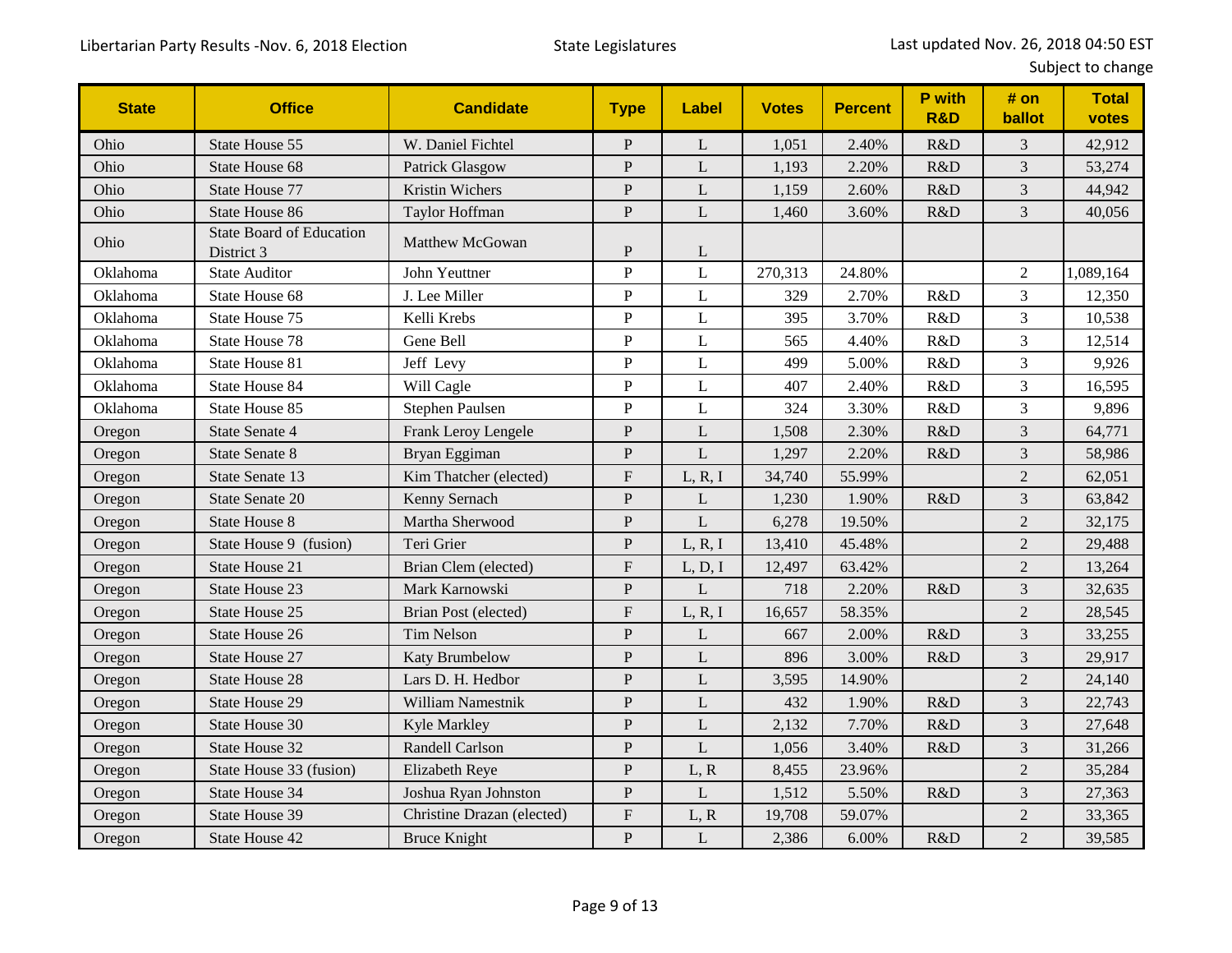| <b>State</b> | <b>Office</b>                                 | <b>Candidate</b>           | <b>Type</b>               | <b>Label</b> | <b>Votes</b> | <b>Percent</b> | P with<br><b>R&amp;D</b> | # on<br>ballot | <b>Total</b><br>votes |
|--------------|-----------------------------------------------|----------------------------|---------------------------|--------------|--------------|----------------|--------------------------|----------------|-----------------------|
| Ohio         | State House 55                                | W. Daniel Fichtel          | P                         | L            | 1,051        | 2.40%          | R&D                      | 3              | 42,912                |
| Ohio         | State House 68                                | Patrick Glasgow            | ${\bf P}$                 | L            | 1,193        | 2.20%          | R&D                      | 3              | 53,274                |
| Ohio         | State House 77                                | <b>Kristin Wichers</b>     | ${\bf P}$                 | L            | 1,159        | 2.60%          | R&D                      | 3              | 44,942                |
| Ohio         | State House 86                                | Taylor Hoffman             | $\mathbf{P}$              | L            | 1,460        | 3.60%          | R&D                      | $\overline{3}$ | 40,056                |
| Ohio         | <b>State Board of Education</b><br>District 3 | Matthew McGowan            | $\mathbf P$               | L            |              |                |                          |                |                       |
| Oklahoma     | <b>State Auditor</b>                          | John Yeuttner              | ${\bf P}$                 | L            | 270,313      | 24.80%         |                          | $\overline{2}$ | 1,089,164             |
| Oklahoma     | State House 68                                | J. Lee Miller              | ${\bf P}$                 | L            | 329          | 2.70%          | R&D                      | $\overline{3}$ | 12,350                |
| Oklahoma     | State House 75                                | Kelli Krebs                | $\mathbf{P}$              | $\mathbf{L}$ | 395          | 3.70%          | R&D                      | 3              | 10,538                |
| Oklahoma     | <b>State House 78</b>                         | Gene Bell                  | $\overline{P}$            | L            | 565          | 4.40%          | R&D                      | $\overline{3}$ | 12,514                |
| Oklahoma     | State House 81                                | Jeff Levy                  | ${\bf P}$                 | L            | 499          | 5.00%          | R&D                      | 3              | 9,926                 |
| Oklahoma     | <b>State House 84</b>                         | Will Cagle                 | ${\bf P}$                 | L            | 407          | 2.40%          | R&D                      | 3              | 16,595                |
| Oklahoma     | State House 85                                | Stephen Paulsen            | ${\bf P}$                 | L            | 324          | 3.30%          | R&D                      | 3              | 9,896                 |
| Oregon       | <b>State Senate 4</b>                         | Frank Leroy Lengele        | $\mathbf{P}$              | L            | 1,508        | 2.30%          | R&D                      | 3              | 64,771                |
| Oregon       | <b>State Senate 8</b>                         | Bryan Eggiman              | $\mathbf{P}$              | L            | 1,297        | 2.20%          | R&D                      | 3              | 58,986                |
| Oregon       | State Senate 13                               | Kim Thatcher (elected)     | ${\bf F}$                 | L, R, I      | 34,740       | 55.99%         |                          | $\overline{2}$ | 62,051                |
| Oregon       | State Senate 20                               | Kenny Sernach              | P                         | L            | 1,230        | 1.90%          | R&D                      | 3              | 63,842                |
| Oregon       | <b>State House 8</b>                          | Martha Sherwood            | ${\bf P}$                 | L            | 6,278        | 19.50%         |                          | $\overline{2}$ | 32,175                |
| Oregon       | State House 9 (fusion)                        | Teri Grier                 | ${\bf P}$                 | L, R, I      | 13,410       | 45.48%         |                          | $\overline{2}$ | 29,488                |
| Oregon       | State House 21                                | Brian Clem (elected)       | $\boldsymbol{\mathrm{F}}$ | L, D, I      | 12,497       | 63.42%         |                          | $\overline{2}$ | 13,264                |
| Oregon       | <b>State House 23</b>                         | Mark Karnowski             | $\overline{P}$            | L            | 718          | 2.20%          | R&D                      | $\overline{3}$ | 32,635                |
| Oregon       | State House 25                                | Brian Post (elected)       | $\boldsymbol{\mathrm{F}}$ | L, R, I      | 16,657       | 58.35%         |                          | $\overline{2}$ | 28,545                |
| Oregon       | State House 26                                | <b>Tim Nelson</b>          | $\mathbf{P}$              | L            | 667          | 2.00%          | R&D                      | 3              | 33,255                |
| Oregon       | <b>State House 27</b>                         | Katy Brumbelow             | ${\bf P}$                 | L            | 896          | 3.00%          | R&D                      | 3              | 29,917                |
| Oregon       | <b>State House 28</b>                         | Lars D. H. Hedbor          | $\mathbf{P}$              | L            | 3,595        | 14.90%         |                          | $\overline{2}$ | 24,140                |
| Oregon       | <b>State House 29</b>                         | William Namestnik          | $\mathbf{P}$              | L            | 432          | 1.90%          | R&D                      | 3              | 22,743                |
| Oregon       | State House 30                                | Kyle Markley               | $\mathbf{P}$              | L            | 2,132        | 7.70%          | R&D                      | 3              | 27,648                |
| Oregon       | State House 32                                | Randell Carlson            | $\mathbf{P}$              | L            | 1,056        | 3.40%          | R&D                      | 3              | 31,266                |
| Oregon       | State House 33 (fusion)                       | Elizabeth Reye             | ${\bf P}$                 | L, R         | 8,455        | 23.96%         |                          | $\overline{2}$ | 35,284                |
| Oregon       | State House 34                                | Joshua Ryan Johnston       | $\mathbf{P}$              | L            | 1,512        | 5.50%          | R&D                      | 3              | 27,363                |
| Oregon       | State House 39                                | Christine Drazan (elected) | $\boldsymbol{\mathrm{F}}$ | L, R         | 19,708       | 59.07%         |                          | $\overline{2}$ | 33,365                |
| Oregon       | State House 42                                | <b>Bruce Knight</b>        | $\mathbf P$               | L            | 2,386        | 6.00%          | R&D                      | $\overline{2}$ | 39,585                |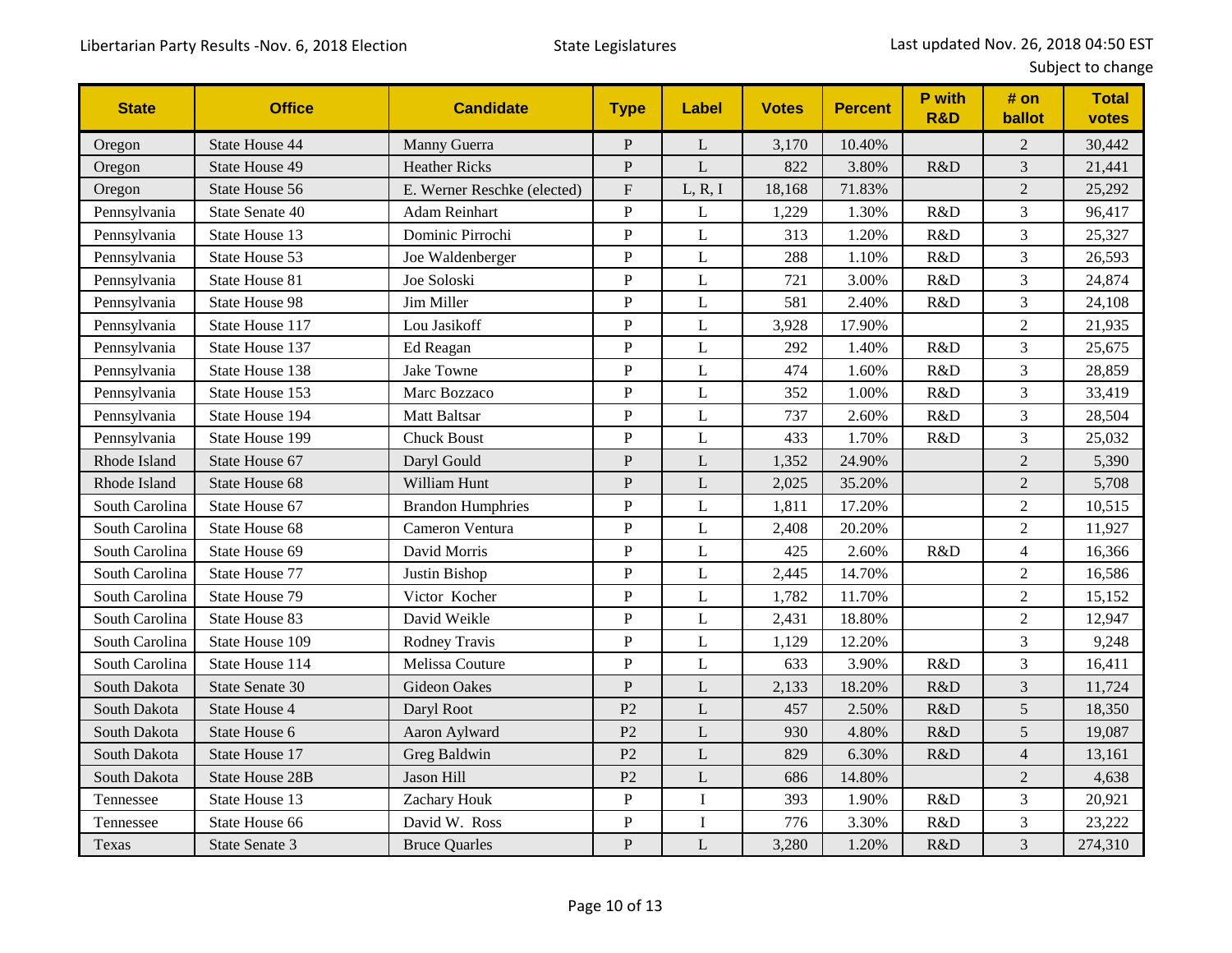| <b>State</b>   | <b>Office</b>          | <b>Candidate</b>            | <b>Type</b>               | Label        | <b>Votes</b> | <b>Percent</b> | P with<br><b>R&amp;D</b> | # on<br>ballot | <b>Total</b><br>votes |
|----------------|------------------------|-----------------------------|---------------------------|--------------|--------------|----------------|--------------------------|----------------|-----------------------|
| Oregon         | <b>State House 44</b>  | Manny Guerra                | $\mathbf P$               | L            | 3,170        | 10.40%         |                          | $\overline{c}$ | 30,442                |
| Oregon         | <b>State House 49</b>  | <b>Heather Ricks</b>        | ${\bf P}$                 | L            | 822          | 3.80%          | R&D                      | $\mathfrak{Z}$ | 21,441                |
| Oregon         | State House 56         | E. Werner Reschke (elected) | $\boldsymbol{\mathrm{F}}$ | L, R, I      | 18,168       | 71.83%         |                          | $\overline{2}$ | 25,292                |
| Pennsylvania   | State Senate 40        | Adam Reinhart               | $\mathbf P$               | L            | 1,229        | 1.30%          | R&D                      | 3              | 96,417                |
| Pennsylvania   | State House 13         | Dominic Pirrochi            | ${\bf P}$                 | L            | 313          | 1.20%          | R&D                      | 3              | 25,327                |
| Pennsylvania   | State House 53         | Joe Waldenberger            | ${\bf P}$                 | L            | 288          | 1.10%          | R&D                      | 3              | 26,593                |
| Pennsylvania   | State House 81         | Joe Soloski                 | ${\bf P}$                 | $\mathbf{L}$ | 721          | 3.00%          | R&D                      | 3              | 24,874                |
| Pennsylvania   | <b>State House 98</b>  | Jim Miller                  | ${\bf P}$                 | L            | 581          | 2.40%          | R&D                      | 3              | 24,108                |
| Pennsylvania   | State House 117        | Lou Jasikoff                | ${\bf P}$                 | L            | 3,928        | 17.90%         |                          | $\overline{2}$ | 21,935                |
| Pennsylvania   | State House 137        | Ed Reagan                   | ${\bf P}$                 | L            | 292          | 1.40%          | R&D                      | 3              | 25,675                |
| Pennsylvania   | State House 138        | <b>Jake Towne</b>           | $\overline{P}$            | $\mathbf L$  | 474          | 1.60%          | R&D                      | 3              | 28,859                |
| Pennsylvania   | State House 153        | Marc Bozzaco                | $\, {\bf P}$              | $\mathbf L$  | 352          | 1.00%          | R&D                      | 3              | 33,419                |
| Pennsylvania   | State House 194        | <b>Matt Baltsar</b>         | $\mathbf P$               | $\mathbf{L}$ | 737          | 2.60%          | R&D                      | 3              | 28,504                |
| Pennsylvania   | State House 199        | <b>Chuck Boust</b>          | ${\bf P}$                 | L            | 433          | 1.70%          | R&D                      | 3              | 25,032                |
| Rhode Island   | State House 67         | Daryl Gould                 | $\mathbf{P}$              | L            | 1,352        | 24.90%         |                          | $\overline{2}$ | 5,390                 |
| Rhode Island   | State House 68         | William Hunt                | $\mathbf{P}$              | L            | 2,025        | 35.20%         |                          | $\overline{2}$ | 5,708                 |
| South Carolina | State House 67         | <b>Brandon Humphries</b>    | ${\bf P}$                 | $\mathbf{L}$ | 1,811        | 17.20%         |                          | $\overline{c}$ | 10,515                |
| South Carolina | State House 68         | Cameron Ventura             | $\mathbf P$               | L            | 2,408        | 20.20%         |                          | $\overline{2}$ | 11,927                |
| South Carolina | State House 69         | David Morris                | $\mathbf P$               | L            | 425          | 2.60%          | R&D                      | $\overline{4}$ | 16,366                |
| South Carolina | <b>State House 77</b>  | Justin Bishop               | ${\bf P}$                 | $\mathbf{L}$ | 2,445        | 14.70%         |                          | $\overline{2}$ | 16,586                |
| South Carolina | State House 79         | Victor Kocher               | $\mathbf P$               | L            | 1,782        | 11.70%         |                          | $\overline{2}$ | 15,152                |
| South Carolina | State House 83         | David Weikle                | $\, {\bf P}$              | L            | 2,431        | 18.80%         |                          | $\overline{c}$ | 12,947                |
| South Carolina | State House 109        | Rodney Travis               | $\mathbf P$               | $\mathbf L$  | 1,129        | 12.20%         |                          | 3              | 9,248                 |
| South Carolina | State House 114        | Melissa Couture             | $\mathbf P$               | $\mathbf{L}$ | 633          | 3.90%          | R&D                      | 3              | 16,411                |
| South Dakota   | State Senate 30        | Gideon Oakes                | ${\bf P}$                 | L            | 2,133        | 18.20%         | R&D                      | 3              | 11,724                |
| South Dakota   | State House 4          | Daryl Root                  | P <sub>2</sub>            | L            | 457          | 2.50%          | R&D                      | 5              | 18,350                |
| South Dakota   | State House 6          | Aaron Aylward               | P <sub>2</sub>            | L            | 930          | 4.80%          | R&D                      | 5              | 19,087                |
| South Dakota   | State House 17         | Greg Baldwin                | P <sub>2</sub>            | L            | 829          | 6.30%          | R&D                      | $\overline{4}$ | 13,161                |
| South Dakota   | <b>State House 28B</b> | Jason Hill                  | P <sub>2</sub>            | L            | 686          | 14.80%         |                          | $\overline{2}$ | 4,638                 |
| Tennessee      | State House 13         | Zachary Houk                | ${\bf P}$                 | $\mathbf I$  | 393          | 1.90%          | R&D                      | 3              | 20,921                |
| Tennessee      | State House 66         | David W. Ross               | ${\bf P}$                 | $\mathbf I$  | 776          | 3.30%          | R&D                      | 3              | 23,222                |
| Texas          | State Senate 3         | <b>Bruce Quarles</b>        | ${\bf P}$                 | $\mathbf{L}$ | 3,280        | 1.20%          | R&D                      | 3              | 274,310               |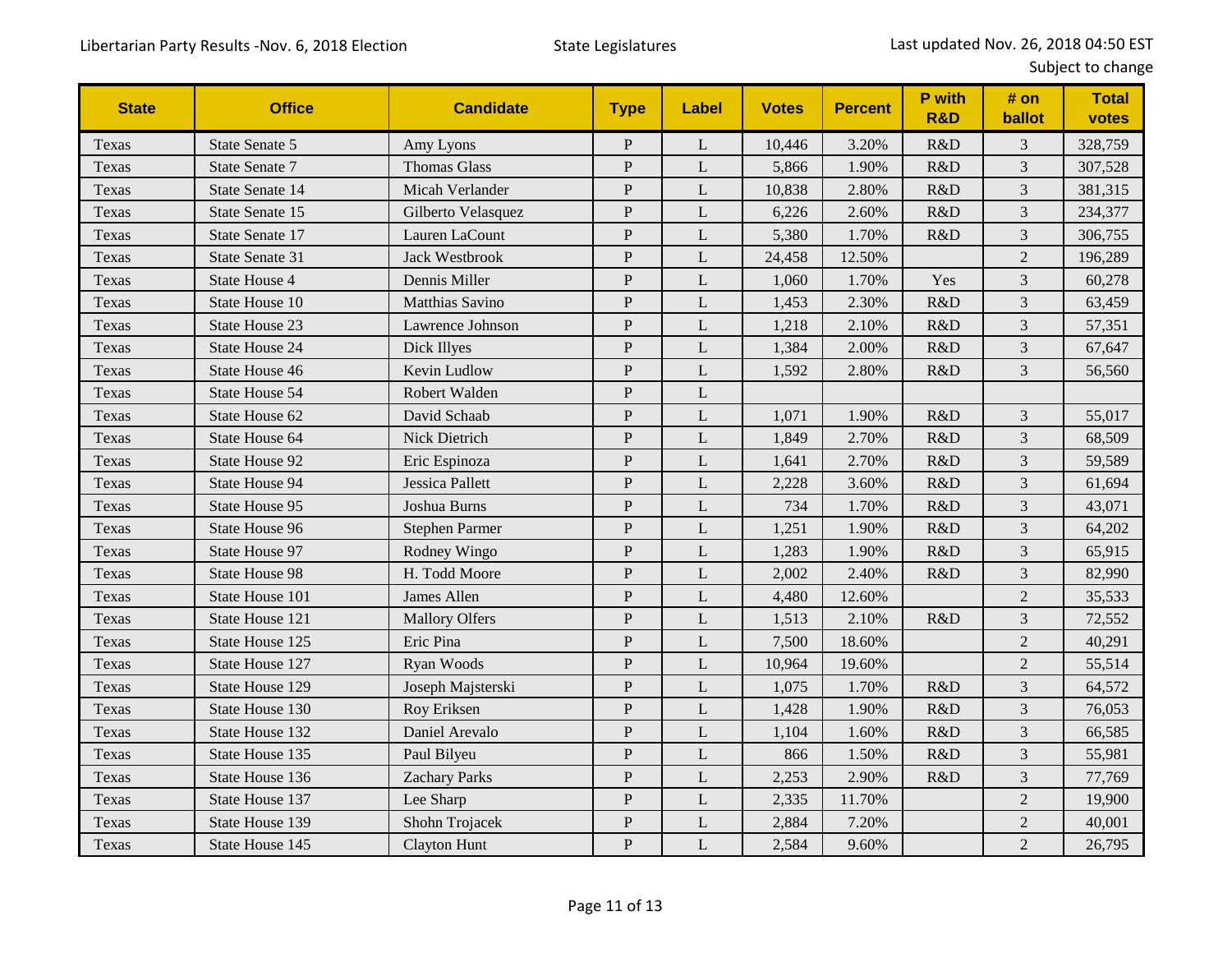| <b>State</b> | <b>Office</b>         | <b>Candidate</b>       | <b>Type</b>    | Label | <b>Votes</b> | <b>Percent</b> | P with<br><b>R&amp;D</b> | # on<br>ballot | <b>Total</b><br>votes |
|--------------|-----------------------|------------------------|----------------|-------|--------------|----------------|--------------------------|----------------|-----------------------|
| Texas        | State Senate 5        | Amy Lyons              | $\, {\bf P}$   | L     | 10,446       | 3.20%          | R&D                      | $\mathfrak{Z}$ | 328,759               |
| Texas        | State Senate 7        | <b>Thomas Glass</b>    | $\, {\bf P}$   | L     | 5,866        | 1.90%          | R&D                      | $\mathfrak{Z}$ | 307,528               |
| Texas        | State Senate 14       | Micah Verlander        | $\, {\bf P}$   | L     | 10,838       | 2.80%          | R&D                      | $\mathfrak{Z}$ | 381,315               |
| Texas        | State Senate 15       | Gilberto Velasquez     | $\mathbf{P}$   | L     | 6,226        | 2.60%          | R&D                      | $\mathfrak{Z}$ | 234,377               |
| Texas        | State Senate 17       | Lauren LaCount         | $\overline{P}$ | L     | 5,380        | 1.70%          | R&D                      | $\mathfrak{Z}$ | 306,755               |
| Texas        | State Senate 31       | <b>Jack Westbrook</b>  | $\, {\bf P}$   | L     | 24,458       | 12.50%         |                          | $\overline{2}$ | 196,289               |
| Texas        | State House 4         | Dennis Miller          | $\mathbf P$    | L     | 1,060        | 1.70%          | Yes                      | $\mathfrak{Z}$ | 60,278                |
| Texas        | State House 10        | <b>Matthias Savino</b> | $\, {\bf P}$   | L     | 1,453        | 2.30%          | R&D                      | $\overline{3}$ | 63,459                |
| Texas        | State House 23        | Lawrence Johnson       | $\, {\bf P}$   | L     | 1,218        | 2.10%          | R&D                      | $\mathfrak{Z}$ | 57,351                |
| Texas        | State House 24        | Dick Illyes            | $\mathbf{P}$   | L     | 1,384        | 2.00%          | R&D                      | $\mathfrak{Z}$ | 67,647                |
| Texas        | State House 46        | Kevin Ludlow           | $\mathbf{P}$   | L     | 1,592        | 2.80%          | R&D                      | $\overline{3}$ | 56,560                |
| Texas        | State House 54        | Robert Walden          | $\mathbf P$    | L     |              |                |                          |                |                       |
| Texas        | State House 62        | David Schaab           | $\, {\bf P}$   | L     | 1,071        | 1.90%          | R&D                      | 3              | 55,017                |
| Texas        | State House 64        | Nick Dietrich          | ${\bf P}$      | L     | 1,849        | 2.70%          | R&D                      | $\overline{3}$ | 68,509                |
| Texas        | State House 92        | Eric Espinoza          | $\mathbf{P}$   | L     | 1,641        | 2.70%          | R&D                      | $\mathfrak{Z}$ | 59,589                |
| Texas        | State House 94        | Jessica Pallett        | $\overline{P}$ | L     | 2,228        | 3.60%          | R&D                      | $\overline{3}$ | 61,694                |
| Texas        | State House 95        | Joshua Burns           | $\, {\bf P}$   | L     | 734          | 1.70%          | R&D                      | $\mathfrak{Z}$ | 43,071                |
| Texas        | State House 96        | <b>Stephen Parmer</b>  | $\, {\bf P}$   | L     | 1,251        | 1.90%          | R&D                      | $\mathfrak{Z}$ | 64,202                |
| Texas        | State House 97        | Rodney Wingo           | $\overline{P}$ | L     | 1,283        | 1.90%          | R&D                      | 3              | 65,915                |
| Texas        | <b>State House 98</b> | H. Todd Moore          | $\, {\bf P}$   | L     | 2,002        | 2.40%          | R&D                      | $\mathfrak{Z}$ | 82,990                |
| Texas        | State House 101       | James Allen            | $\mathbf{P}$   | L     | 4,480        | 12.60%         |                          | $\overline{2}$ | 35,533                |
| Texas        | State House 121       | <b>Mallory Olfers</b>  | $\, {\bf P}$   | L     | 1,513        | 2.10%          | R&D                      | $\mathfrak{Z}$ | 72,552                |
| Texas        | State House 125       | Eric Pina              | ${\bf P}$      | L     | 7,500        | 18.60%         |                          | $\sqrt{2}$     | 40,291                |
| Texas        | State House 127       | Ryan Woods             | $\overline{P}$ | L     | 10,964       | 19.60%         |                          | $\overline{2}$ | 55,514                |
| Texas        | State House 129       | Joseph Majsterski      | $\, {\bf P}$   | L     | 1,075        | 1.70%          | R&D                      | $\mathfrak{Z}$ | 64,572                |
| Texas        | State House 130       | Roy Eriksen            | $\mathbf{P}$   | L     | 1,428        | 1.90%          | R&D                      | $\mathfrak{Z}$ | 76,053                |
| Texas        | State House 132       | Daniel Arevalo         | $\mathbf{P}$   | L     | 1,104        | 1.60%          | R&D                      | $\mathfrak{Z}$ | 66,585                |
| Texas        | State House 135       | Paul Bilyeu            | $\, {\bf P}$   | L     | 866          | 1.50%          | R&D                      | $\mathfrak{Z}$ | 55,981                |
| Texas        | State House 136       | <b>Zachary Parks</b>   | ${\bf P}$      | L     | 2,253        | 2.90%          | R&D                      | $\overline{3}$ | 77,769                |
| Texas        | State House 137       | Lee Sharp              | ${\bf P}$      | L     | 2,335        | 11.70%         |                          | $\overline{2}$ | 19,900                |
| Texas        | State House 139       | Shohn Trojacek         | ${\bf P}$      | L     | 2,884        | 7.20%          |                          | $\overline{2}$ | 40,001                |
| Texas        | State House 145       | <b>Clayton Hunt</b>    | ${\bf P}$      | L     | 2,584        | 9.60%          |                          | $\overline{2}$ | 26,795                |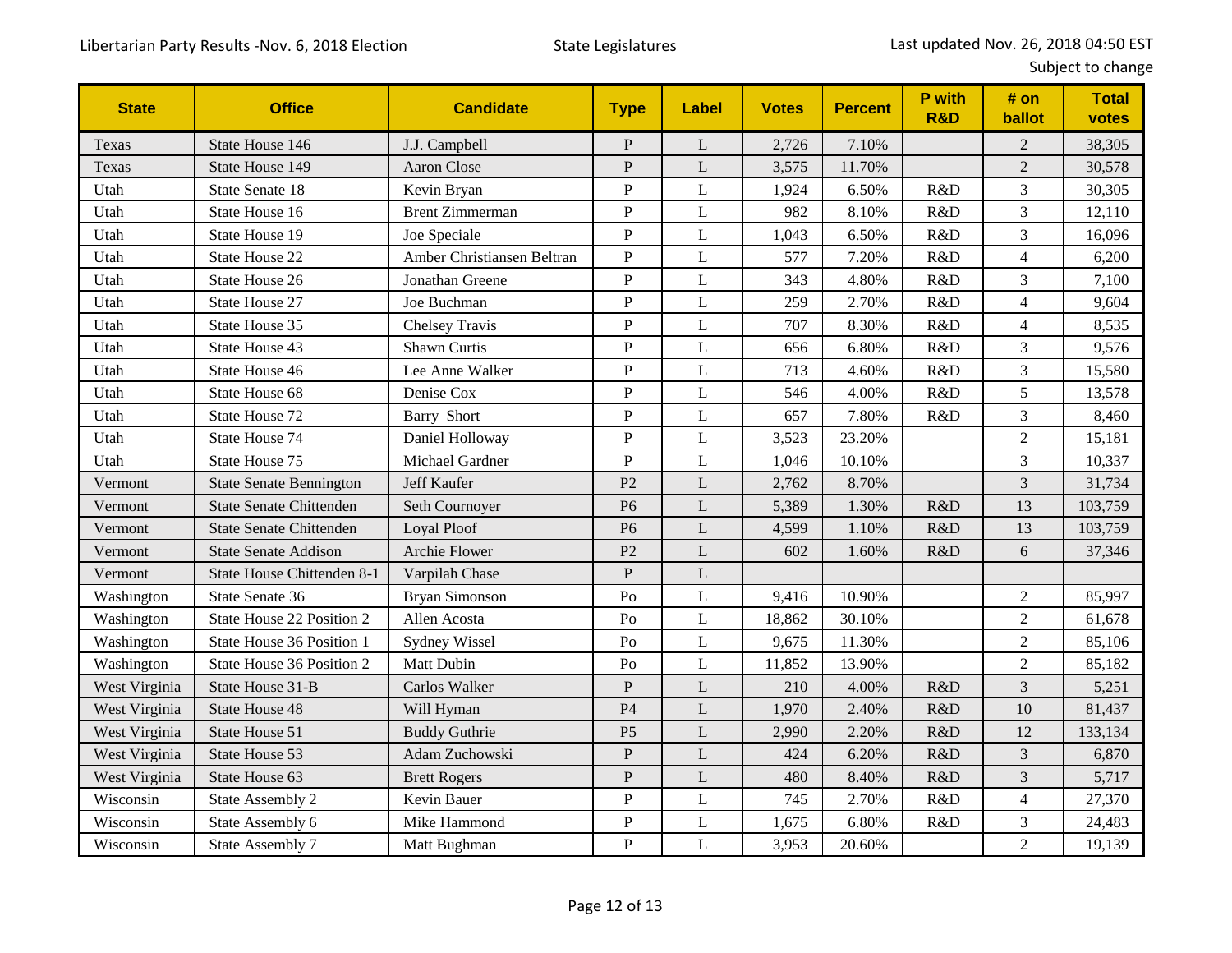| <b>State</b>  | <b>Office</b>                  | <b>Candidate</b>           | <b>Type</b>    | Label       | <b>Votes</b> | <b>Percent</b> | P with<br><b>R&amp;D</b> | # on<br>ballot           | <b>Total</b><br>votes |
|---------------|--------------------------------|----------------------------|----------------|-------------|--------------|----------------|--------------------------|--------------------------|-----------------------|
| Texas         | State House 146                | J.J. Campbell              | ${\bf P}$      | L           | 2,726        | 7.10%          |                          | $\overline{c}$           | 38,305                |
| Texas         | State House 149                | <b>Aaron Close</b>         | ${\bf P}$      | L           | 3,575        | 11.70%         |                          | $\sqrt{2}$               | 30,578                |
| Utah          | State Senate 18                | Kevin Bryan                | $\overline{P}$ | L           | 1,924        | 6.50%          | R&D                      | 3                        | 30,305                |
| Utah          | State House 16                 | <b>Brent Zimmerman</b>     | $\mathbf P$    | L           | 982          | 8.10%          | R&D                      | $\overline{3}$           | 12,110                |
| Utah          | State House 19                 | Joe Speciale               | $\mathbf P$    | L           | 1,043        | 6.50%          | R&D                      | 3                        | 16,096                |
| Utah          | State House 22                 | Amber Christiansen Beltran | $\mathbf P$    | L           | 577          | 7.20%          | R&D                      | $\overline{4}$           | 6,200                 |
| Utah          | State House 26                 | Jonathan Greene            | $\overline{P}$ | L           | 343          | 4.80%          | R&D                      | 3                        | 7,100                 |
| Utah          | State House 27                 | Joe Buchman                | $\, {\bf P}$   | L           | 259          | 2.70%          | R&D                      | $\overline{4}$           | 9,604                 |
| Utah          | State House 35                 | <b>Chelsey Travis</b>      | ${\bf P}$      | L           | 707          | 8.30%          | R&D                      | $\overline{\mathcal{A}}$ | 8,535                 |
| Utah          | State House 43                 | <b>Shawn Curtis</b>        | ${\bf P}$      | L           | 656          | 6.80%          | R&D                      | 3                        | 9,576                 |
| Utah          | State House 46                 | Lee Anne Walker            | $\mathbf P$    | L           | 713          | 4.60%          | R&D                      | 3                        | 15,580                |
| Utah          | State House 68                 | Denise Cox                 | $\mathbf P$    | L           | 546          | 4.00%          | R&D                      | 5                        | 13,578                |
| Utah          | State House 72                 | <b>Barry Short</b>         | $\mathbf P$    | L           | 657          | 7.80%          | R&D                      | 3                        | 8,460                 |
| Utah          | State House 74                 | Daniel Holloway            | $\overline{P}$ | $\mathbf L$ | 3,523        | 23.20%         |                          | $\overline{c}$           | 15,181                |
| Utah          | State House 75                 | Michael Gardner            | $\, {\bf P}$   | L           | 1,046        | 10.10%         |                          | 3                        | 10,337                |
| Vermont       | <b>State Senate Bennington</b> | Jeff Kaufer                | P <sub>2</sub> | L           | 2,762        | 8.70%          |                          | $\mathfrak{Z}$           | 31,734                |
| Vermont       | <b>State Senate Chittenden</b> | Seth Cournoyer             | P <sub>6</sub> | L           | 5,389        | 1.30%          | R&D                      | 13                       | 103,759               |
| Vermont       | <b>State Senate Chittenden</b> | Loyal Ploof                | P <sub>6</sub> | L           | 4,599        | 1.10%          | R&D                      | 13                       | 103,759               |
| Vermont       | <b>State Senate Addison</b>    | Archie Flower              | P <sub>2</sub> | L           | 602          | 1.60%          | R&D                      | 6                        | 37,346                |
| Vermont       | State House Chittenden 8-1     | Varpilah Chase             | ${\bf P}$      | L           |              |                |                          |                          |                       |
| Washington    | State Senate 36                | <b>Bryan Simonson</b>      | P <sub>0</sub> | $\mathbf L$ | 9,416        | 10.90%         |                          | $\overline{c}$           | 85,997                |
| Washington    | State House 22 Position 2      | Allen Acosta               | P <sub>0</sub> | L           | 18,862       | 30.10%         |                          | $\overline{2}$           | 61,678                |
| Washington    | State House 36 Position 1      | Sydney Wissel              | P <sub>0</sub> | L           | 9,675        | 11.30%         |                          | $\overline{2}$           | 85,106                |
| Washington    | State House 36 Position 2      | <b>Matt Dubin</b>          | Po             | L           | 11,852       | 13.90%         |                          | $\overline{2}$           | 85,182                |
| West Virginia | State House 31-B               | Carlos Walker              | $\mathbf{P}$   | L           | 210          | 4.00%          | R&D                      | 3                        | 5,251                 |
| West Virginia | State House 48                 | Will Hyman                 | P <sub>4</sub> | L           | 1,970        | 2.40%          | R&D                      | 10                       | 81,437                |
| West Virginia | State House 51                 | <b>Buddy Guthrie</b>       | P <sub>5</sub> | L           | 2,990        | 2.20%          | R&D                      | 12                       | 133,134               |
| West Virginia | State House 53                 | Adam Zuchowski             | ${\bf P}$      | $\mathbf L$ | 424          | 6.20%          | R&D                      | 3                        | 6,870                 |
| West Virginia | State House 63                 | <b>Brett Rogers</b>        | ${\bf P}$      | L           | 480          | 8.40%          | R&D                      | 3                        | 5,717                 |
| Wisconsin     | State Assembly 2               | Kevin Bauer                | $\mathbf P$    | L           | 745          | 2.70%          | R&D                      | $\overline{4}$           | 27,370                |
| Wisconsin     | State Assembly 6               | Mike Hammond               | $\mathbf P$    | L           | 1,675        | 6.80%          | R&D                      | 3                        | 24,483                |
| Wisconsin     | State Assembly 7               | Matt Bughman               | $\overline{P}$ | L           | 3,953        | 20.60%         |                          | $\overline{2}$           | 19,139                |